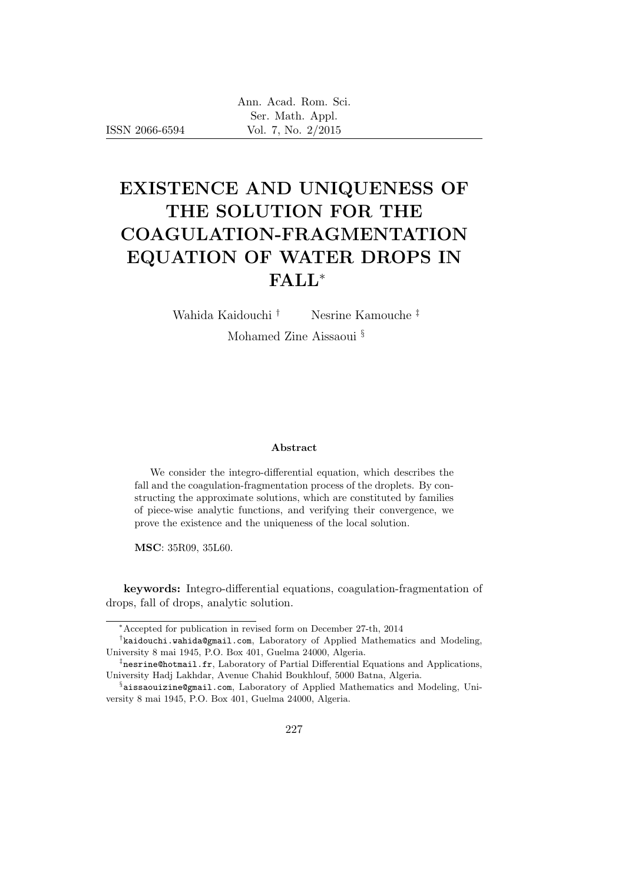ISSN 2066-6594

# EXISTENCE AND UNIQUENESS OF THE SOLUTION FOR THE COAGULATION-FRAGMENTATION EQUATION OF WATER DROPS IN FALL<sup>∗</sup>

Wahida Kaidouchi † Nesrine Kamouche ‡

Mohamed Zine Aissaoui §

#### Abstract

We consider the integro-differential equation, which describes the fall and the coagulation-fragmentation process of the droplets. By constructing the approximate solutions, which are constituted by families of piece-wise analytic functions, and verifying their convergence, we prove the existence and the uniqueness of the local solution.

MSC: 35R09, 35L60.

keywords: Integro-differential equations, coagulation-fragmentation of drops, fall of drops, analytic solution.

<sup>∗</sup>Accepted for publication in revised form on December 27-th, 2014

<sup>†</sup> kaidouchi.wahida@gmail.com, Laboratory of Applied Mathematics and Modeling, University 8 mai 1945, P.O. Box 401, Guelma 24000, Algeria.

<sup>‡</sup> nesrine@hotmail.fr, Laboratory of Partial Differential Equations and Applications, University Hadj Lakhdar, Avenue Chahid Boukhlouf, 5000 Batna, Algeria.

<sup>§</sup> aissaouizine@gmail.com, Laboratory of Applied Mathematics and Modeling, University 8 mai 1945, P.O. Box 401, Guelma 24000, Algeria.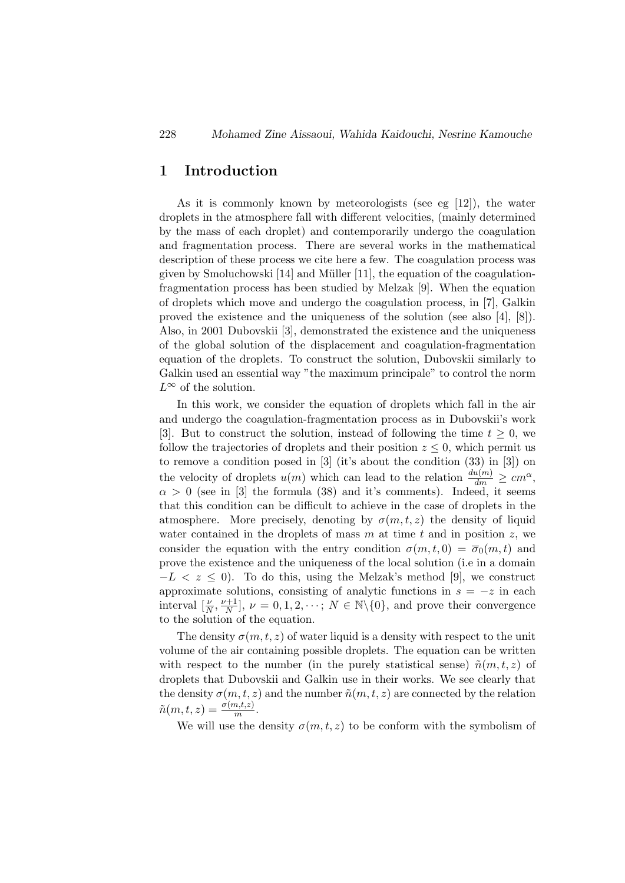# 1 Introduction

As it is commonly known by meteorologists (see eg [12]), the water droplets in the atmosphere fall with different velocities, (mainly determined by the mass of each droplet) and contemporarily undergo the coagulation and fragmentation process. There are several works in the mathematical description of these process we cite here a few. The coagulation process was given by Smoluchowski  $[14]$  and Müller  $[11]$ , the equation of the coagulationfragmentation process has been studied by Melzak [9]. When the equation of droplets which move and undergo the coagulation process, in [7], Galkin proved the existence and the uniqueness of the solution (see also [4], [8]). Also, in 2001 Dubovskii [3], demonstrated the existence and the uniqueness of the global solution of the displacement and coagulation-fragmentation equation of the droplets. To construct the solution, Dubovskii similarly to Galkin used an essential way "the maximum principale" to control the norm  $L^{\infty}$  of the solution.

In this work, we consider the equation of droplets which fall in the air and undergo the coagulation-fragmentation process as in Dubovskii's work [3]. But to construct the solution, instead of following the time  $t \geq 0$ , we follow the trajectories of droplets and their position  $z \leq 0$ , which permit us to remove a condition posed in [3] (it's about the condition (33) in [3]) on the velocity of droplets  $u(m)$  which can lead to the relation  $\frac{du(m)}{dm} \ge cm^{\alpha}$ ,  $\alpha > 0$  (see in [3] the formula (38) and it's comments). Indeed, it seems that this condition can be difficult to achieve in the case of droplets in the atmosphere. More precisely, denoting by  $\sigma(m, t, z)$  the density of liquid water contained in the droplets of mass  $m$  at time  $t$  and in position  $z$ , we consider the equation with the entry condition  $\sigma(m, t, 0) = \overline{\sigma}_0(m, t)$  and prove the existence and the uniqueness of the local solution (i.e in a domain  $-L < z \leq 0$ ). To do this, using the Melzak's method [9], we construct approximate solutions, consisting of analytic functions in  $s = -z$  in each interval  $\left[\frac{\nu}{N}, \frac{\nu+1}{N}\right]$  $\frac{N+1}{N}$ ,  $\nu = 0, 1, 2, \dots; N \in \mathbb{N}\backslash\{0\}$ , and prove their convergence to the solution of the equation.

The density  $\sigma(m, t, z)$  of water liquid is a density with respect to the unit volume of the air containing possible droplets. The equation can be written with respect to the number (in the purely statistical sense)  $\tilde{n}(m, t, z)$  of droplets that Dubovskii and Galkin use in their works. We see clearly that the density  $\sigma(m, t, z)$  and the number  $\tilde{n}(m, t, z)$  are connected by the relation  $ilde{n}(m, t, z) = \frac{\sigma(m, t, z)}{m}.$ 

We will use the density  $\sigma(m, t, z)$  to be conform with the symbolism of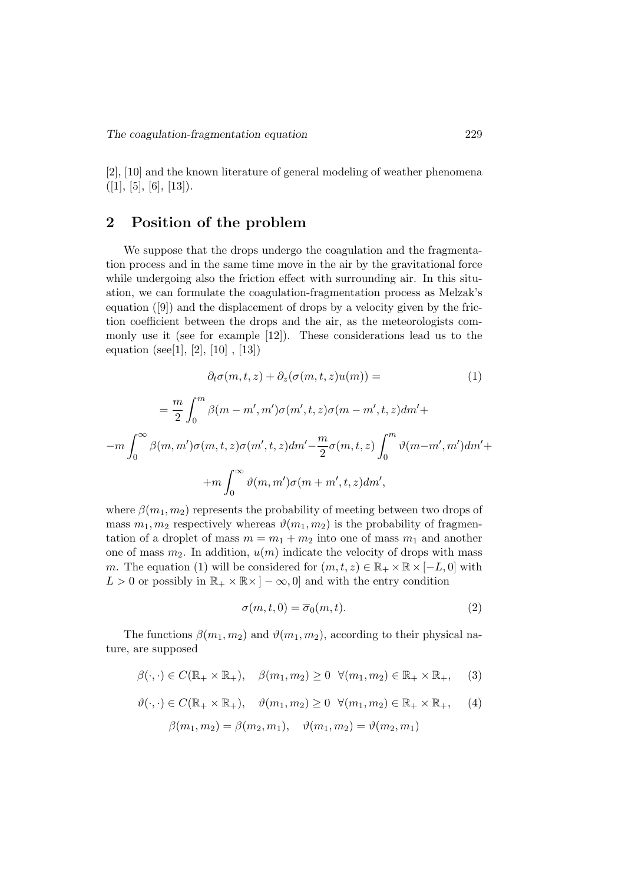[2], [10] and the known literature of general modeling of weather phenomena  $([1], [5], [6], [13]).$ 

# 2 Position of the problem

We suppose that the drops undergo the coagulation and the fragmentation process and in the same time move in the air by the gravitational force while undergoing also the friction effect with surrounding air. In this situation, we can formulate the coagulation-fragmentation process as Melzak's equation ([9]) and the displacement of drops by a velocity given by the friction coefficient between the drops and the air, as the meteorologists commonly use it (see for example [12]). These considerations lead us to the equation (see[1], [2], [10], [13])

$$
\partial_t \sigma(m, t, z) + \partial_z(\sigma(m, t, z)u(m)) = \tag{1}
$$

$$
= \frac{m}{2} \int_0^m \beta(m - m', m') \sigma(m', t, z) \sigma(m - m', t, z) dm' +
$$

$$
-m \int_0^\infty \beta(m, m') \sigma(m, t, z) \sigma(m', t, z) dm' - \frac{m}{2} \sigma(m, t, z) \int_0^m \vartheta(m - m', m') dm' +
$$

$$
+m \int_0^\infty \vartheta(m, m') \sigma(m + m', t, z) dm',
$$

where  $\beta(m_1, m_2)$  represents the probability of meeting between two drops of mass  $m_1, m_2$  respectively whereas  $\vartheta(m_1, m_2)$  is the probability of fragmentation of a droplet of mass  $m = m_1 + m_2$  into one of mass  $m_1$  and another one of mass  $m_2$ . In addition,  $u(m)$  indicate the velocity of drops with mass m. The equation (1) will be considered for  $(m, t, z) \in \mathbb{R}_+ \times \mathbb{R} \times [-L, 0]$  with  $L > 0$  or possibly in  $\mathbb{R}_+ \times \mathbb{R} \times ]-\infty,0]$  and with the entry condition

$$
\sigma(m, t, 0) = \overline{\sigma}_0(m, t). \tag{2}
$$

The functions  $\beta(m_1, m_2)$  and  $\vartheta(m_1, m_2)$ , according to their physical nature, are supposed

$$
\beta(\cdot,\cdot) \in C(\mathbb{R}_+ \times \mathbb{R}_+), \quad \beta(m_1,m_2) \ge 0 \quad \forall (m_1,m_2) \in \mathbb{R}_+ \times \mathbb{R}_+, \quad (3)
$$

$$
\vartheta(\cdot,\cdot) \in C(\mathbb{R}_+ \times \mathbb{R}_+), \quad \vartheta(m_1, m_2) \ge 0 \quad \forall (m_1, m_2) \in \mathbb{R}_+ \times \mathbb{R}_+, \quad (4)
$$

$$
\beta(m_1, m_2) = \beta(m_2, m_1), \quad \vartheta(m_1, m_2) = \vartheta(m_2, m_1)
$$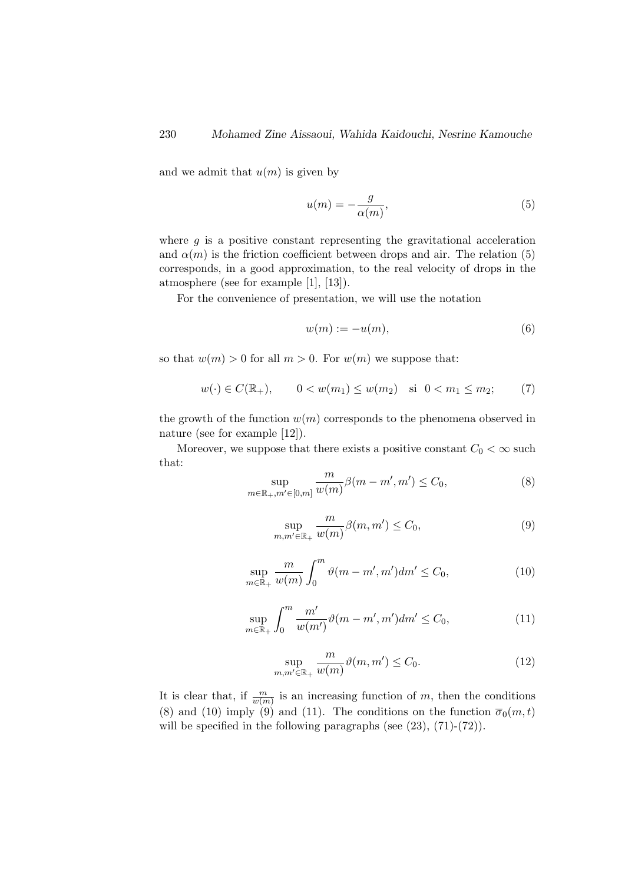and we admit that  $u(m)$  is given by

$$
u(m) = -\frac{g}{\alpha(m)},\tag{5}
$$

where  $g$  is a positive constant representing the gravitational acceleration and  $\alpha(m)$  is the friction coefficient between drops and air. The relation (5) corresponds, in a good approximation, to the real velocity of drops in the atmosphere (see for example [1], [13]).

For the convenience of presentation, we will use the notation

$$
w(m) := -u(m),\tag{6}
$$

so that  $w(m) > 0$  for all  $m > 0$ . For  $w(m)$  we suppose that:

$$
w(\cdot) \in C(\mathbb{R}_+), \qquad 0 < w(m_1) \le w(m_2) \quad \text{si} \ \ 0 < m_1 \le m_2; \tag{7}
$$

the growth of the function  $w(m)$  corresponds to the phenomena observed in nature (see for example [12]).

Moreover, we suppose that there exists a positive constant  $C_0 < \infty$  such that:

$$
\sup_{m \in \mathbb{R}_+, m' \in [0, m]} \frac{m}{w(m)} \beta(m - m', m') \le C_0,
$$
\n(8)

$$
\sup_{m,m'\in\mathbb{R}_+} \frac{m}{w(m)} \beta(m,m') \le C_0,
$$
\n(9)

$$
\sup_{m \in \mathbb{R}_+} \frac{m}{w(m)} \int_0^m \vartheta(m - m', m') dm' \le C_0,
$$
\n(10)

$$
\sup_{m \in \mathbb{R}_+} \int_0^m \frac{m'}{w(m')} \vartheta(m - m', m') dm' \le C_0,
$$
\n(11)

$$
\sup_{m,m'\in\mathbb{R}_+} \frac{m}{w(m)} \vartheta(m,m') \le C_0. \tag{12}
$$

It is clear that, if  $\frac{m}{w(m)}$  is an increasing function of m, then the conditions (8) and (10) imply (9) and (11). The conditions on the function  $\overline{\sigma}_0(m,t)$ will be specified in the following paragraphs (see  $(23)$ ,  $(71)-(72)$ ).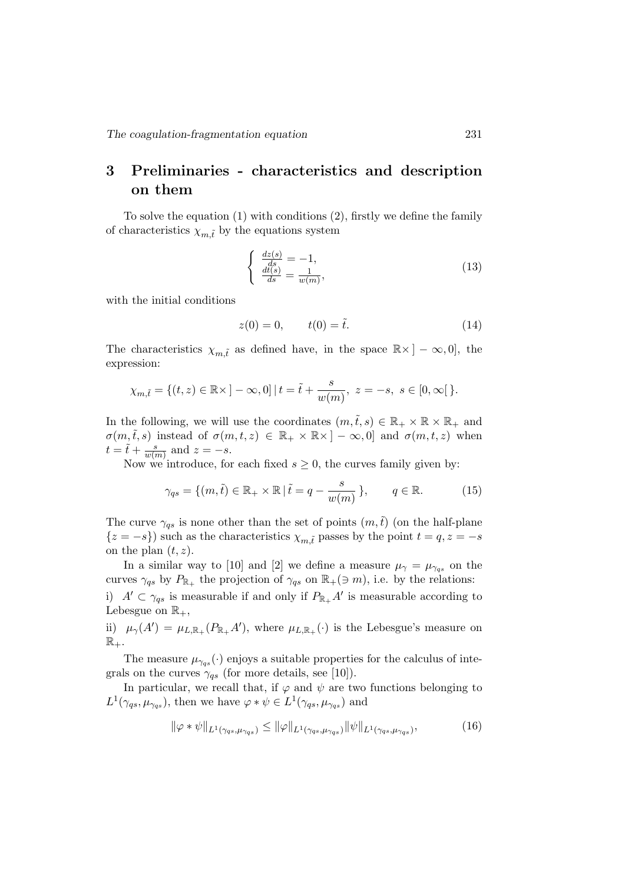# 3 Preliminaries - characteristics and description on them

To solve the equation (1) with conditions (2), firstly we define the family of characteristics  $\chi_{m,\tilde{t}}$  by the equations system

$$
\begin{cases}\n\frac{dz(s)}{ds} = -1, \\
\frac{dt(s)}{ds} = \frac{1}{w(m)},\n\end{cases} (13)
$$

with the initial conditions

$$
z(0) = 0, \t t(0) = \tilde{t}.
$$
\t(14)

The characteristics  $\chi_{m,\tilde{t}}$  as defined have, in the space  $\mathbb{R} \times ]-\infty,0]$ , the expression:

$$
\chi_{m,\tilde{t}} = \{ (t,z) \in \mathbb{R} \times ]-\infty, 0] \mid t = \tilde{t} + \frac{s}{w(m)}, \ z = -s, \ s \in [0, \infty[ \}.
$$

In the following, we will use the coordinates  $(m,\tilde{t},s) \in \mathbb{R}_+ \times \mathbb{R} \times \mathbb{R}_+$  and  $\sigma(m,\tilde{t},s)$  instead of  $\sigma(m,t,z) \in \mathbb{R}_+ \times \mathbb{R} \times ]-\infty,0]$  and  $\sigma(m,t,z)$  when  $t = \tilde{t} + \frac{s}{w(s)}$  $\frac{s}{w(m)}$  and  $z = -s$ .

Now we introduce, for each fixed  $s \geq 0$ , the curves family given by:

$$
\gamma_{qs} = \{ (m, \tilde{t}) \in \mathbb{R}_+ \times \mathbb{R} \mid \tilde{t} = q - \frac{s}{w(m)} \}, \qquad q \in \mathbb{R}.
$$
 (15)

The curve  $\gamma_{qs}$  is none other than the set of points  $(m,\tilde{t})$  (on the half-plane  ${z = -s}$ ) such as the characteristics  $\chi_{m,t}$  passes by the point  $t = q, z = -s$ on the plan  $(t, z)$ .

In a similar way to [10] and [2] we define a measure  $\mu_{\gamma} = \mu_{\gamma qs}$  on the curves  $\gamma_{qs}$  by  $P_{\mathbb{R}_+}$  the projection of  $\gamma_{qs}$  on  $\mathbb{R}_+(\ni m)$ , i.e. by the relations:

i)  $A' \subset \gamma_{qs}$  is measurable if and only if  $P_{\mathbb{R}_+} A'$  is measurable according to Lebesgue on  $\mathbb{R}_+$ ,

ii)  $\mu_{\gamma}(A') = \mu_{L,\mathbb{R}_+}(P_{\mathbb{R}_+}A')$ , where  $\mu_{L,\mathbb{R}_+}(\cdot)$  is the Lebesgue's measure on  $\mathbb{R}_+$ .

The measure  $\mu_{\gamma_{\alpha s}}(\cdot)$  enjoys a suitable properties for the calculus of integrals on the curves  $\gamma_{qs}$  (for more details, see [10]).

In particular, we recall that, if  $\varphi$  and  $\psi$  are two functions belonging to  $L^1(\gamma_{qs}, \mu_{\gamma_{qs}})$ , then we have  $\varphi * \psi \in L^1(\gamma_{qs}, \mu_{\gamma_{qs}})$  and

$$
\|\varphi * \psi\|_{L^1(\gamma_{qs}, \mu_{\gamma qs})} \le \|\varphi\|_{L^1(\gamma_{qs}, \mu_{\gamma qs})} \|\psi\|_{L^1(\gamma_{qs}, \mu_{\gamma qs})},\tag{16}
$$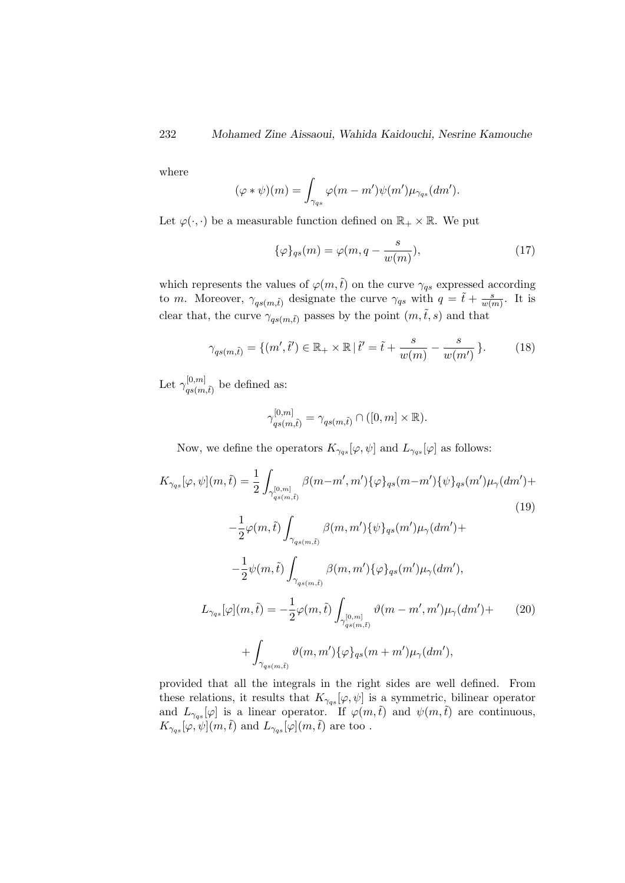where

$$
(\varphi * \psi)(m) = \int_{\gamma_{qs}} \varphi(m - m')\psi(m')\mu_{\gamma_{qs}}(dm').
$$

Let  $\varphi(\cdot, \cdot)$  be a measurable function defined on  $\mathbb{R}_+ \times \mathbb{R}$ . We put

$$
\{\varphi\}_{qs}(m) = \varphi(m, q - \frac{s}{w(m)}),\tag{17}
$$

which represents the values of  $\varphi(m,\tilde{t})$  on the curve  $\gamma_{qs}$  expressed according to *m*. Moreover,  $\gamma_{qs(m,\tilde{t})}$  designate the curve  $\gamma_{qs}$  with  $q = \tilde{t} + \frac{s}{w(r)}$  $\frac{s}{w(m)}$ . It is clear that, the curve  $\gamma_{qs(m,\tilde{t})}$  passes by the point  $(m,\tilde{t},s)$  and that

$$
\gamma_{qs(m,\tilde{t})} = \{ (m',\tilde{t}') \in \mathbb{R}_+ \times \mathbb{R} \, | \, \tilde{t}' = \tilde{t} + \frac{s}{w(m)} - \frac{s}{w(m')} \}. \tag{18}
$$

Let  $\gamma^{[0,m]}_{\alpha_2(m)}$  $q_s(m,\tilde{t})$  be defined as:

$$
\gamma_{qs(m,\tilde{t})}^{[0,m]} = \gamma_{qs(m,\tilde{t})} \cap ([0,m] \times \mathbb{R}).
$$

Now, we define the operators  $K_{\gamma_{qs}}[\varphi,\psi]$  and  $L_{\gamma_{qs}}[\varphi]$  as follows:

$$
K_{\gamma_{qs}}[\varphi,\psi](m,\tilde{t}) = \frac{1}{2} \int_{\gamma_{qs(m,\tilde{t})}^{[0,m]}} \beta(m-m',m') \{\varphi\}_{qs}(m-m') \{\psi\}_{qs}(m') \mu_{\gamma}(dm') +
$$
  
\n
$$
- \frac{1}{2} \varphi(m,\tilde{t}) \int_{\gamma_{qs(m,\tilde{t})}} \beta(m,m') \{\psi\}_{qs}(m') \mu_{\gamma}(dm') +
$$
  
\n
$$
- \frac{1}{2} \psi(m,\tilde{t}) \int_{\gamma_{qs(m,\tilde{t})}} \beta(m,m') \{\varphi\}_{qs}(m') \mu_{\gamma}(dm'),
$$
  
\n
$$
L_{\gamma_{qs}}[\varphi](m,\tilde{t}) = - \frac{1}{2} \varphi(m,\tilde{t}) \int_{\gamma_{qs(m,\tilde{t})}^{[0,m]}} \vartheta(m-m',m') \mu_{\gamma}(dm') +
$$
  
\n
$$
+ \int_{\gamma_{qs(m,\tilde{t})}} \vartheta(m,m') \{\varphi\}_{qs}(m+m') \mu_{\gamma}(dm'),
$$
\n(20)

provided that all the integrals in the right sides are well defined. From these relations, it results that  $K_{\gamma q_s}[\varphi, \psi]$  is a symmetric, bilinear operator and  $L_{\gamma_{qs}}[\varphi]$  is a linear operator. If  $\varphi(m,\tilde{t})$  and  $\psi(m,\tilde{t})$  are continuous,  $K_{\gamma_{qs}}[\varphi,\psi](m,\tilde{t})$  and  $L_{\gamma_{qs}}[\varphi](m,\tilde{t})$  are too.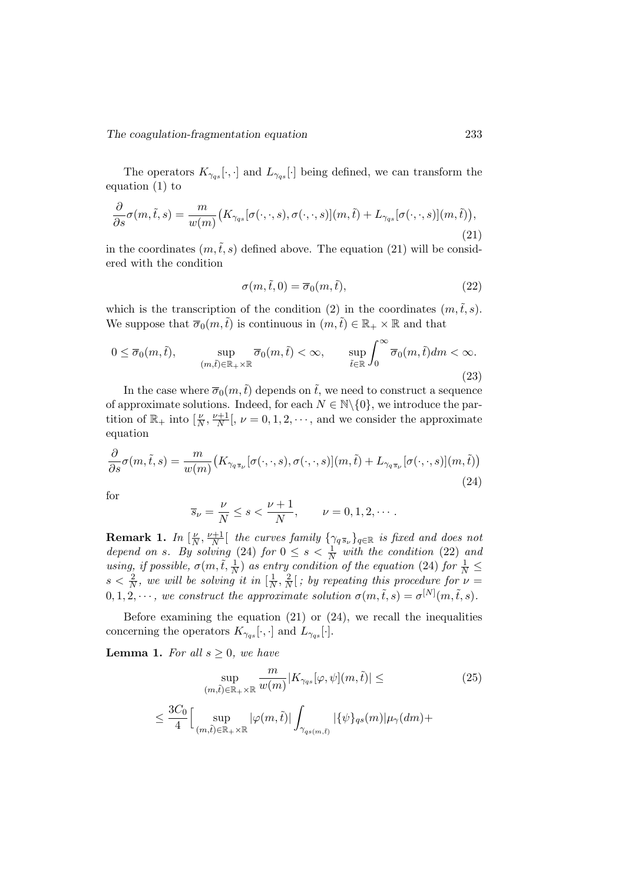The operators  $K_{\gamma_{qs}}[\cdot,\cdot]$  and  $L_{\gamma_{qs}}[\cdot]$  being defined, we can transform the equation (1) to

$$
\frac{\partial}{\partial s}\sigma(m,\tilde{t},s) = \frac{m}{w(m)}\big(K_{\gamma qs}[\sigma(\cdot,\cdot,s),\sigma(\cdot,\cdot,s)](m,\tilde{t}) + L_{\gamma qs}[\sigma(\cdot,\cdot,s)](m,\tilde{t})\big),\tag{21}
$$

in the coordinates  $(m, \tilde{t}, s)$  defined above. The equation (21) will be considered with the condition

$$
\sigma(m,\tilde{t},0) = \overline{\sigma}_0(m,\tilde{t}),\tag{22}
$$

which is the transcription of the condition (2) in the coordinates  $(m,\tilde{t},s)$ . We suppose that  $\overline{\sigma}_0(m,\tilde{t})$  is continuous in  $(m,\tilde{t}) \in \mathbb{R}_+ \times \mathbb{R}$  and that

$$
0 \le \overline{\sigma}_0(m,\tilde{t}), \qquad \sup_{(m,\tilde{t}) \in \mathbb{R}_+ \times \mathbb{R}} \overline{\sigma}_0(m,\tilde{t}) < \infty, \qquad \sup_{\tilde{t} \in \mathbb{R}} \int_0^\infty \overline{\sigma}_0(m,\tilde{t}) dm < \infty. \tag{23}
$$

In the case where  $\overline{\sigma}_0(m,\tilde{t})$  depends on  $\tilde{t}$ , we need to construct a sequence of approximate solutions. Indeed, for each  $N \in \mathbb{N} \backslash \{0\}$ , we introduce the partition of  $\mathbb{R}_+$  into  $\left[\frac{\nu}{N}, \frac{\nu+1}{N}\right]$  $\frac{N+1}{N}$ ,  $\nu = 0, 1, 2, \dots$ , and we consider the approximate equation

$$
\frac{\partial}{\partial s}\sigma(m,\tilde{t},s) = \frac{m}{w(m)}\big(K_{\gamma_q s_\nu}[\sigma(\cdot,\cdot,s),\sigma(\cdot,\cdot,s)](m,\tilde{t}) + L_{\gamma_q s_\nu}[\sigma(\cdot,\cdot,s)](m,\tilde{t})\big) \tag{24}
$$

for

$$
\overline{s}_{\nu} = \frac{\nu}{N} \leq s < \frac{\nu + 1}{N}, \qquad \nu = 0, 1, 2, \cdots.
$$

Remark 1. In  $\left[\frac{\nu}{\Lambda}\right]$  $\frac{\nu}{N}, \frac{\nu+1}{N}$  $\frac{N+1}{N}$  the curves family  $\{\gamma_{q \bar{s}_{\nu}}\}_{q \in \mathbb{R}}$  is fixed and does not depend on s. By solving (24) for  $0 \leq s < \frac{1}{N}$  with the condition (22) and using, if possible,  $\sigma(m, \tilde{t}, \frac{1}{N})$  as entry condition of the equation (24) for  $\frac{1}{N} \leq$  $s < \frac{2}{N}$ , we will be solving it in  $\left[\frac{1}{N}\right]$  $\frac{1}{N}, \frac{2}{N}$  $\frac{2}{N}$  ; by repeating this procedure for  $\nu =$  $0, 1, 2, \cdots$ , we construct the approximate solution  $\sigma(m, \tilde{t}, s) = \sigma^{[N]}(m, \tilde{t}, s)$ .

Before examining the equation  $(21)$  or  $(24)$ , we recall the inequalities concerning the operators  $K_{\gamma_{qs}}[\cdot,\cdot]$  and  $L_{\gamma_{qs}}[\cdot]$ .

**Lemma 1.** For all  $s \geq 0$ , we have

$$
\sup_{(m,\tilde{t}) \in \mathbb{R}_+ \times \mathbb{R}} \frac{m}{w(m)} |K_{\gamma_{qs}}[\varphi, \psi](m, \tilde{t})| \le
$$
\n
$$
\leq \frac{3C_0}{4} \Big[ \sup_{(m,\tilde{t}) \in \mathbb{R}_+ \times \mathbb{R}} |\varphi(m, \tilde{t})| \int_{\gamma_{qs(m, \tilde{t})}} |\{\psi\}_{qs}(m)| \mu_{\gamma}(dm) +
$$
\n(25)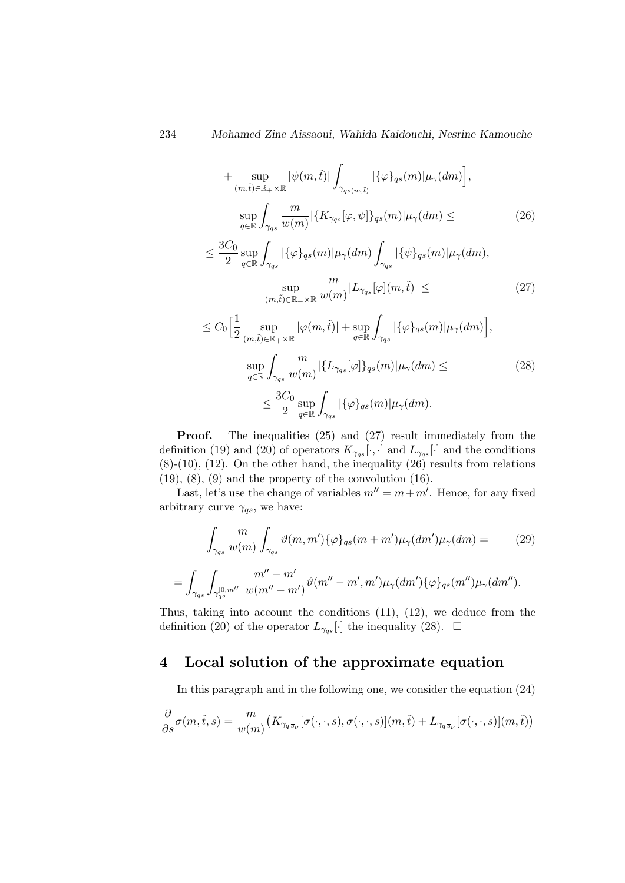+ 
$$
\sup_{(m,\tilde{t}) \in \mathbb{R}_+ \times \mathbb{R}} |\psi(m,\tilde{t})| \int_{\gamma_{qs(m,\tilde{t})}} |\{\varphi\}_{qs}(m)| \mu_{\gamma}(dm)|,
$$
  
\n
$$
\sup_{q \in \mathbb{R}} \int_{\gamma_{qs}} \frac{m}{w(m)} |\{K_{\gamma_{qs}}[\varphi,\psi]\}_{qs}(m)| \mu_{\gamma}(dm) \leq (26)
$$
  
\n
$$
\leq \frac{3C_0}{2} \sup_{q \in \mathbb{R}} \int_{\gamma_{qs}} |\{\varphi\}_{qs}(m)| \mu_{\gamma}(dm) \int_{\gamma_{qs}} |\{\psi\}_{qs}(m)| \mu_{\gamma}(dm),
$$
  
\n
$$
\sup_{(m,\tilde{t}) \in \mathbb{R}_+ \times \mathbb{R}} \frac{m}{w(m)} |L_{\gamma_{qs}}[\varphi](m,\tilde{t})| \leq (27)
$$
  
\n
$$
\leq C_0 \Big[ \frac{1}{2} \sup_{(m,\tilde{t}) \in \mathbb{R}_+ \times \mathbb{R}} |\varphi(m,\tilde{t})| + \sup_{q \in \mathbb{R}} \int_{\gamma_{qs}} |\{\varphi\}_{qs}(m)| \mu_{\gamma}(dm) \Big],
$$
  
\n
$$
\sup_{q \in \mathbb{R}} \int_{\gamma_{qs}} \frac{m}{w(m)} |\{L_{\gamma_{qs}}[\varphi]\}_{qs}(m)| \mu_{\gamma}(dm) \leq (28)
$$
  
\n
$$
\leq \frac{3C_0}{2} \sup_{q \in \mathbb{R}} \int_{\gamma_{qs}} |\{\varphi\}_{qs}(m)| \mu_{\gamma}(dm).
$$

Proof. The inequalities (25) and (27) result immediately from the definition (19) and (20) of operators  $K_{\gamma_{qs}}[\cdot,\cdot]$  and  $L_{\gamma_{qs}}[\cdot]$  and the conditions  $(8)-(10)$ ,  $(12)$ . On the other hand, the inequality  $(26)$  results from relations  $(19)$ ,  $(8)$ ,  $(9)$  and the property of the convolution  $(16)$ .

Last, let's use the change of variables  $m'' = m + m'$ . Hence, for any fixed arbitrary curve  $\gamma_{qs},$  we have:

$$
\int_{\gamma_{qs}} \frac{m}{w(m)} \int_{\gamma_{qs}} \vartheta(m, m') \{\varphi\}_{qs}(m + m') \mu_{\gamma}(dm') \mu_{\gamma}(dm) =
$$
\n
$$
= \int_{\gamma_{qs}} \int_{\gamma_{qs}^{[0,m'']} } \frac{m'' - m'}{w(m'' - m')} \vartheta(m'' - m', m') \mu_{\gamma}(dm') \{\varphi\}_{qs}(m'') \mu_{\gamma}(dm'').
$$
\n(29)

Thus, taking into account the conditions (11), (12), we deduce from the definition (20) of the operator  $L_{\gamma_{gs}}[\cdot]$  the inequality (28).  $\Box$ 

# 4 Local solution of the approximate equation

In this paragraph and in the following one, we consider the equation (24)

$$
\frac{\partial}{\partial s}\sigma(m,\tilde{t},s) = \frac{m}{w(m)}\big(K_{\gamma_{q\bar{s}\nu}}[\sigma(\cdot,\cdot,s),\sigma(\cdot,\cdot,s)](m,\tilde{t}) + L_{\gamma_{q\bar{s}\nu}}[\sigma(\cdot,\cdot,s)](m,\tilde{t})\big)
$$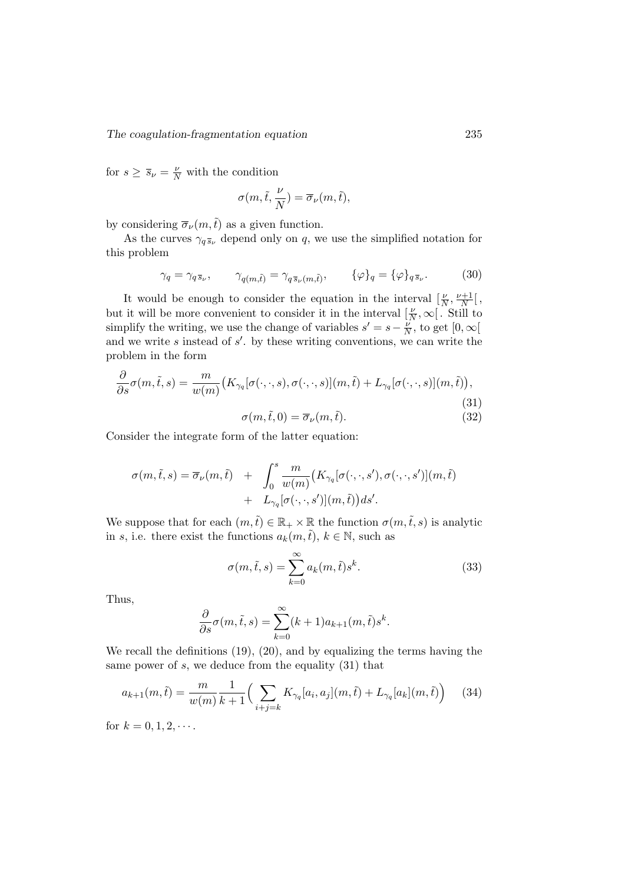for  $s \geq \overline{s}_{\nu} = \frac{\nu}{N}$  with the condition

$$
\sigma(m,\tilde{t},\frac{\nu}{N})=\overline{\sigma}_{\nu}(m,\tilde{t}),
$$

by considering  $\overline{\sigma}_{\nu}(m,\tilde{t})$  as a given function.

As the curves  $\gamma_{q\bar{s}_{\nu}}$  depend only on q, we use the simplified notation for this problem

$$
\gamma_q = \gamma_{q\bar{s}_{\nu}}, \qquad \gamma_{q(m,\tilde{t})} = \gamma_{q\bar{s}_{\nu}(m,\tilde{t})}, \qquad {\{\varphi\}}_q = {\{\varphi\}}_{q\bar{s}_{\nu}}.
$$
 (30)

It would be enough to consider the equation in the interval  $\left[\frac{\nu}{N}, \frac{\nu+1}{N}\right]$  $\frac{H}{N}$ [, but it will be more convenient to consider it in the interval  $\left[\frac{\nu}{N}, \infty\right]$ . Still to simplify the writing, we use the change of variables  $s' = s - \frac{\nu}{\Lambda}$  $\frac{\nu}{N}$ , to get  $[0, \infty[$ and we write s instead of  $s'$ . by these writing conventions, we can write the problem in the form

$$
\frac{\partial}{\partial s}\sigma(m,\tilde{t},s) = \frac{m}{w(m)} \big(K_{\gamma_q}[\sigma(\cdot,\cdot,s),\sigma(\cdot,\cdot,s)](m,\tilde{t}) + L_{\gamma_q}[\sigma(\cdot,\cdot,s)](m,\tilde{t})\big),\tag{31}
$$

$$
\sigma(m,\tilde{t},0) = \overline{\sigma}_{\nu}(m,\tilde{t}).\tag{32}
$$

$$
\sigma(m, \iota, \sigma) = \sigma_{\nu}(m, \iota).
$$

Consider the integrate form of the latter equation:

$$
\sigma(m,\tilde{t},s) = \overline{\sigma}_{\nu}(m,\tilde{t}) + \int_0^s \frac{m}{w(m)} \big(K_{\gamma_q}[\sigma(\cdot,\cdot,s'),\sigma(\cdot,\cdot,s')](m,\tilde{t}) + L_{\gamma_q}[\sigma(\cdot,\cdot,s')](m,\tilde{t})\big)ds'.
$$

We suppose that for each  $(m,\tilde{t}) \in \mathbb{R}_+ \times \mathbb{R}$  the function  $\sigma(m,\tilde{t},s)$  is analytic in s, i.e. there exist the functions  $a_k(m, \tilde{t}), k \in \mathbb{N}$ , such as

$$
\sigma(m,\tilde{t},s) = \sum_{k=0}^{\infty} a_k(m,\tilde{t})s^k.
$$
 (33)

Thus,

$$
\frac{\partial}{\partial s}\sigma(m,\tilde{t},s) = \sum_{k=0}^{\infty} (k+1)a_{k+1}(m,\tilde{t})s^k.
$$

We recall the definitions (19), (20), and by equalizing the terms having the same power of  $s$ , we deduce from the equality  $(31)$  that

$$
a_{k+1}(m,\tilde{t}) = \frac{m}{w(m)} \frac{1}{k+1} \Big( \sum_{i+j=k} K_{\gamma_q}[a_i, a_j](m,\tilde{t}) + L_{\gamma_q}[a_k](m,\tilde{t}) \Big) \tag{34}
$$

for  $k = 0, 1, 2, \cdots$ .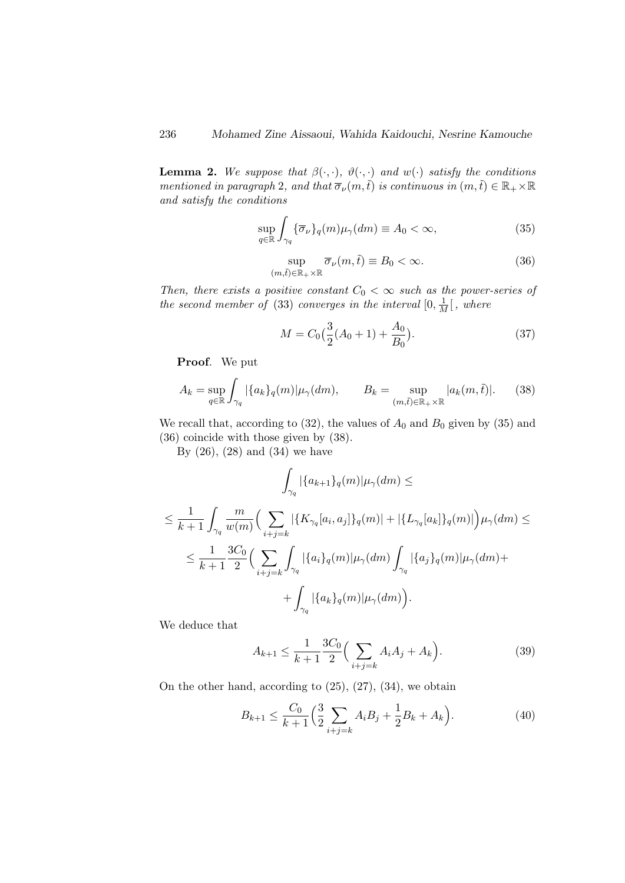**Lemma 2.** We suppose that  $\beta(\cdot, \cdot)$ ,  $\vartheta(\cdot, \cdot)$  and  $w(\cdot)$  satisfy the conditions mentioned in paragraph 2, and that  $\overline{\sigma}_{\nu}(m,\tilde{t})$  is continuous in  $(m,\tilde{t}) \in \mathbb{R}_+ \times \mathbb{R}$ and satisfy the conditions

$$
\sup_{q \in \mathbb{R}} \int_{\gamma_q} \{ \overline{\sigma}_{\nu} \}_q(m) \mu_{\gamma}(dm) \equiv A_0 < \infty,\tag{35}
$$

$$
\sup_{(m,\tilde{t}) \in \mathbb{R}_+ \times \mathbb{R}} \overline{\sigma}_{\nu}(m,\tilde{t}) \equiv B_0 < \infty.
$$
 (36)

Then, there exists a positive constant  $C_0 < \infty$  such as the power-series of the second member of (33) converges in the interval  $[0, \frac{1}{M}]$ , where

$$
M = C_0 \left(\frac{3}{2}(A_0 + 1) + \frac{A_0}{B_0}\right).
$$
 (37)

Proof. We put

$$
A_k = \sup_{q \in \mathbb{R}} \int_{\gamma_q} |\{a_k\}_q(m)| \mu_\gamma(dm), \qquad B_k = \sup_{(m,\tilde{t}) \in \mathbb{R}_+ \times \mathbb{R}} |a_k(m,\tilde{t})|. \tag{38}
$$

We recall that, according to (32), the values of  $A_0$  and  $B_0$  given by (35) and (36) coincide with those given by (38).

By  $(26)$ ,  $(28)$  and  $(34)$  we have

$$
\int_{\gamma_q} |\{a_{k+1}\}_q(m)| \mu_\gamma(dm) \le
$$
\n
$$
\leq \frac{1}{k+1} \int_{\gamma_q} \frac{m}{w(m)} \Big( \sum_{i+j=k} |\{K_{\gamma_q}[a_i, a_j]\}_q(m)| + |\{L_{\gamma_q}[a_k]\}_q(m)| \Big) \mu_\gamma(dm) \le
$$
\n
$$
\leq \frac{1}{k+1} \frac{3C_0}{2} \Big( \sum_{i+j=k} \int_{\gamma_q} |\{a_i\}_q(m)| \mu_\gamma(dm) \int_{\gamma_q} |\{a_j\}_q(m)| \mu_\gamma(dm) + \int_{\gamma_q} |\{a_k\}_q(m)| \mu_\gamma(dm) \Big).
$$

We deduce that

$$
A_{k+1} \le \frac{1}{k+1} \frac{3C_0}{2} \Big( \sum_{i+j=k} A_i A_j + A_k \Big). \tag{39}
$$

On the other hand, according to (25), (27), (34), we obtain

$$
B_{k+1} \le \frac{C_0}{k+1} \left(\frac{3}{2} \sum_{i+j=k} A_i B_j + \frac{1}{2} B_k + A_k\right). \tag{40}
$$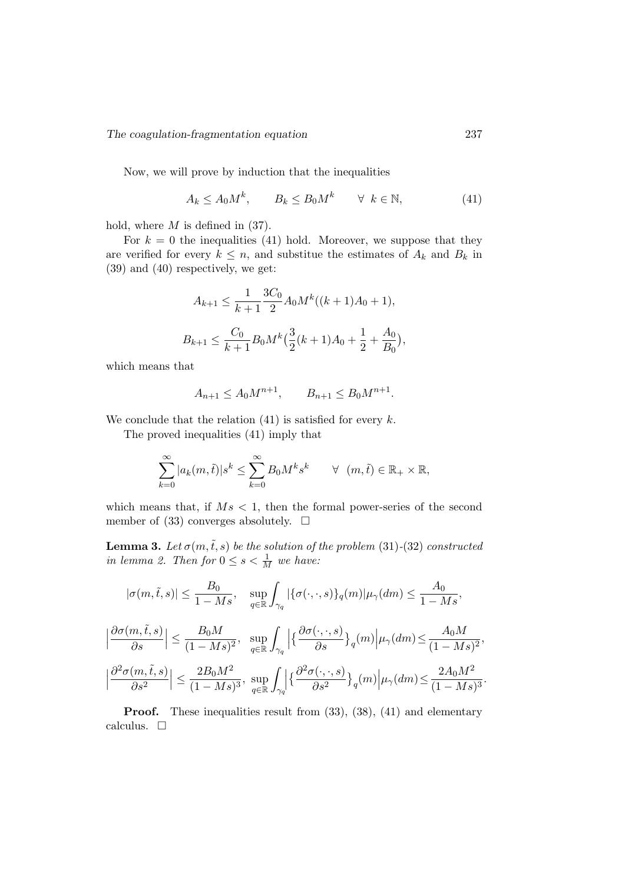Now, we will prove by induction that the inequalities

$$
A_k \le A_0 M^k, \qquad B_k \le B_0 M^k \qquad \forall \ k \in \mathbb{N}, \tag{41}
$$

hold, where  $M$  is defined in (37).

For  $k = 0$  the inequalities (41) hold. Moreover, we suppose that they are verified for every  $k \leq n$ , and substitue the estimates of  $A_k$  and  $B_k$  in (39) and (40) respectively, we get:

$$
A_{k+1} \le \frac{1}{k+1} \frac{3C_0}{2} A_0 M^k((k+1)A_0 + 1),
$$
  

$$
B_{k+1} \le \frac{C_0}{k+1} B_0 M^k \left(\frac{3}{2}(k+1)A_0 + \frac{1}{2} + \frac{A_0}{B_0}\right),
$$

which means that

$$
A_{n+1} \le A_0 M^{n+1}, \qquad B_{n+1} \le B_0 M^{n+1}.
$$

We conclude that the relation  $(41)$  is satisfied for every k.

The proved inequalities (41) imply that

$$
\sum_{k=0}^{\infty} |a_k(m,\tilde{t})|s^k \le \sum_{k=0}^{\infty} B_0 M^k s^k \qquad \forall \ (m,\tilde{t}) \in \mathbb{R}_+ \times \mathbb{R},
$$

which means that, if  $Ms < 1$ , then the formal power-series of the second member of (33) converges absolutely.  $\square$ 

**Lemma 3.** Let  $\sigma(m,\tilde{t},s)$  be the solution of the problem (31)-(32) constructed in lemma 2. Then for  $0 \leq s < \frac{1}{M}$  we have:

$$
|\sigma(m,\tilde{t},s)| \leq \frac{B_0}{1 - Ms}, \quad \sup_{q \in \mathbb{R}} \int_{\gamma_q} |\{\sigma(\cdot,\cdot,s)\}_q(m)| \mu_\gamma(dm) \leq \frac{A_0}{1 - Ms},
$$
  

$$
\left| \frac{\partial \sigma(m,\tilde{t},s)}{\partial s} \right| \leq \frac{B_0 M}{(1 - Ms)^2}, \quad \sup_{q \in \mathbb{R}} \int_{\gamma_q} \left| \left\{ \frac{\partial \sigma(\cdot,\cdot,s)}{\partial s} \right\}_q(m) \middle| \mu_\gamma(dm) \leq \frac{A_0 M}{(1 - Ms)^2},
$$
  

$$
\left| \frac{\partial^2 \sigma(m,\tilde{t},s)}{\partial s^2} \right| \leq \frac{2B_0 M^2}{(1 - Ms)^3}, \quad \sup_{q \in \mathbb{R}} \int_{\gamma_q} \left| \left\{ \frac{\partial^2 \sigma(\cdot,\cdot,s)}{\partial s^2} \right\}_q(m) \middle| \mu_\gamma(dm) \leq \frac{2A_0 M^2}{(1 - Ms)^3}.
$$

**Proof.** These inequalities result from  $(33)$ ,  $(38)$ ,  $(41)$  and elementary calculus.  $\square$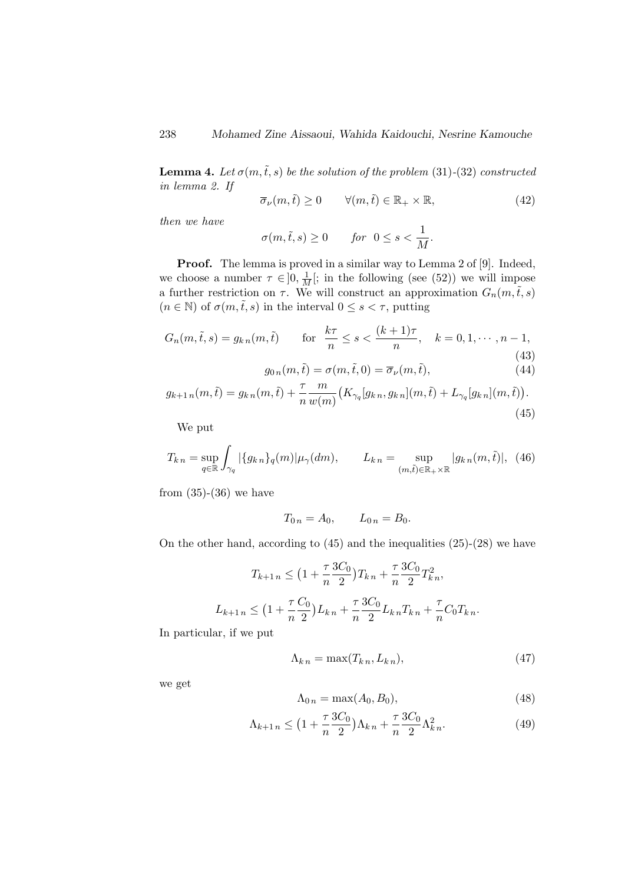**Lemma 4.** Let  $\sigma(m,\tilde{t},s)$  be the solution of the problem (31)-(32) constructed in lemma 2. If

$$
\overline{\sigma}_{\nu}(m,\tilde{t}) \ge 0 \qquad \forall (m,\tilde{t}) \in \mathbb{R}_+ \times \mathbb{R}, \tag{42}
$$

then we have

$$
\sigma(m,\tilde{t},s) \ge 0 \quad \text{for} \ \ 0 \le s < \frac{1}{M}.
$$

Proof. The lemma is proved in a similar way to Lemma 2 of [9]. Indeed, we choose a number  $\tau \in ]0, \frac{1}{M} [$ ; in the following (see (52)) we will impose a further restriction on  $\tau$ . We will construct an approximation  $G_n(m, \tilde{t}, s)$  $(n \in \mathbb{N})$  of  $\sigma(m, \tilde{t}, s)$  in the interval  $0 \leq s < \tau$ , putting

$$
G_n(m, \tilde{t}, s) = g_{kn}(m, \tilde{t}) \qquad \text{for} \quad \frac{k\tau}{n} \le s < \frac{(k+1)\tau}{n}, \quad k = 0, 1, \cdots, n-1,
$$
\n
$$
\tag{43}
$$

$$
g_{0n}(m,\tilde{t}) = \sigma(m,\tilde{t},0) = \overline{\sigma}_{\nu}(m,\tilde{t}),
$$
\n(44)

$$
g_{k+1 n}(m,\tilde{t}) = g_{k n}(m,\tilde{t}) + \frac{\tau}{n} \frac{m}{w(m)} \big( K_{\gamma_q}[g_{k n}, g_{k n}](m,\tilde{t}) + L_{\gamma_q}[g_{k n}](m,\tilde{t}) \big).
$$
\n(45)

We put

$$
T_{k\,n} = \sup_{q \in \mathbb{R}} \int_{\gamma_q} |\{g_{k\,n}\}_q(m)| \mu_\gamma(dm), \qquad L_{k\,n} = \sup_{(m,\tilde{t}) \in \mathbb{R}_+ \times \mathbb{R}} |g_{k\,n}(m,\tilde{t})|, \tag{46}
$$

from  $(35)-(36)$  we have

$$
T_{0 n} = A_0, \qquad L_{0 n} = B_0.
$$

On the other hand, according to (45) and the inequalities (25)-(28) we have

$$
T_{k+1 n} \leq \left(1 + \frac{\tau}{n} \frac{3C_0}{2}\right) T_{k n} + \frac{\tau}{n} \frac{3C_0}{2} T_{k n}^2,
$$
  

$$
L_{k+1 n} \leq \left(1 + \frac{\tau}{n} \frac{C_0}{2}\right) L_{k n} + \frac{\tau}{n} \frac{3C_0}{2} L_{k n} T_{k n} + \frac{\tau}{n} C_0 T_{k n}.
$$

In particular, if we put

$$
\Lambda_{kn} = \max(T_{kn}, L_{kn}),\tag{47}
$$

we get

$$
\Lambda_{0n} = \max(A_0, B_0),\tag{48}
$$

$$
\Lambda_{k+1 n} \le \left(1 + \frac{\tau}{n} \frac{3C_0}{2}\right) \Lambda_{k n} + \frac{\tau}{n} \frac{3C_0}{2} \Lambda_{k n}^2. \tag{49}
$$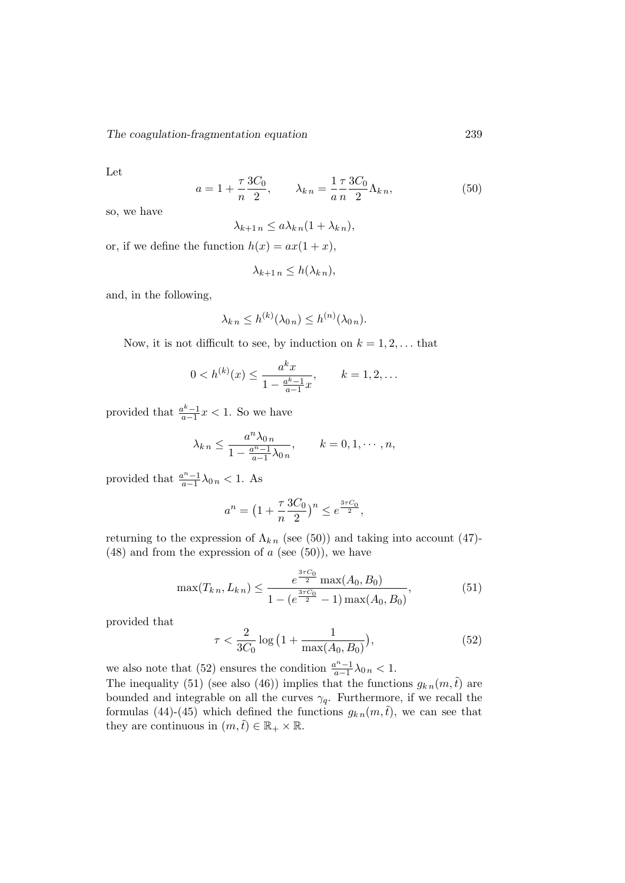Let

$$
a = 1 + \frac{\tau}{n} \frac{3C_0}{2}, \qquad \lambda_{kn} = \frac{1}{a} \frac{\tau}{n} \frac{3C_0}{2} \Lambda_{kn}, \tag{50}
$$

so, we have

$$
\lambda_{k+1 n} \le a \lambda_{k n} (1 + \lambda_{k n}),
$$

or, if we define the function  $h(x) = ax(1+x)$ ,

$$
\lambda_{k+1 n} \leq h(\lambda_{k n}),
$$

and, in the following,

$$
\lambda_{kn} \leq h^{(k)}(\lambda_{0\,n}) \leq h^{(n)}(\lambda_{0\,n}).
$$

Now, it is not difficult to see, by induction on  $k = 1, 2, \ldots$  that

$$
0 < h^{(k)}(x) \le \frac{a^k x}{1 - \frac{a^k - 1}{a - 1} x}, \qquad k = 1, 2, \dots
$$

provided that  $\frac{a^k-1}{a-1}$  $\frac{a^{k}-1}{a-1}x < 1$ . So we have

$$
\lambda_{k\,n} \le \frac{a^n \lambda_{0\,n}}{1 - \frac{a^n - 1}{a - 1} \lambda_{0\,n}}, \qquad k = 0, 1, \cdots, n,
$$

provided that  $\frac{a^{n}-1}{a-1}$  $\frac{u^{n}-1}{a-1}\lambda_{0,n} < 1.$  As

$$
a^{n} = \left(1 + \frac{\tau}{n} \frac{3C_0}{2}\right)^{n} \le e^{\frac{3\tau C_0}{2}},
$$

returning to the expression of  $\Lambda_{kn}$  (see (50)) and taking into account (47)- $(48)$  and from the expression of a (see  $(50)$ ), we have

$$
\max(T_{k\,n}, L_{k\,n}) \le \frac{e^{\frac{3\tau C_0}{2}} \max(A_0, B_0)}{1 - (e^{\frac{3\tau C_0}{2}} - 1) \max(A_0, B_0)},\tag{51}
$$

provided that

$$
\tau < \frac{2}{3C_0} \log \left( 1 + \frac{1}{\max(A_0, B_0)} \right),\tag{52}
$$

we also note that (52) ensures the condition  $\frac{a^{n}-1}{a-1}$  $\frac{a^{n}-1}{a-1}\lambda_{0,n} < 1.$ The inequality (51) (see also (46)) implies that the functions  $g_{k n}(m,\tilde{t})$  are bounded and integrable on all the curves  $\gamma_q$ . Furthermore, if we recall the formulas (44)-(45) which defined the functions  $g_{k n}(m,\tilde{t})$ , we can see that they are continuous in  $(m,\tilde{t}) \in \mathbb{R}_+ \times \mathbb{R}$ .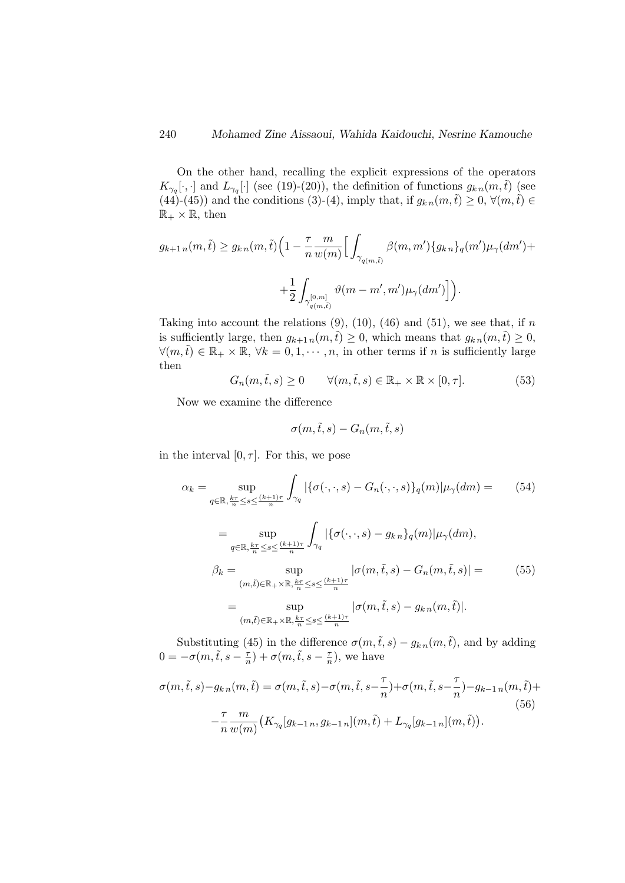On the other hand, recalling the explicit expressions of the operators  $K_{\gamma_q}[\cdot,\cdot]$  and  $L_{\gamma_q}[\cdot]$  (see (19)-(20)), the definition of functions  $g_{k,n}(m,\tilde{t})$  (see (44)-(45)) and the conditions (3)-(4), imply that, if  $g_{k n}(m,\tilde{t}) \geq 0$ ,  $\forall (m,\tilde{t}) \in$  $\mathbb{R}_+ \times \mathbb{R}$ , then

$$
g_{k+1 n}(m,\tilde{t}) \ge g_{k n}(m,\tilde{t}) \Big(1 - \frac{\tau}{n} \frac{m}{w(m)} \Big[ \int_{\gamma_{q(m,\tilde{t})}} \beta(m,m') \{g_{k n}\}_q(m') \mu_{\gamma}(dm') +
$$
  

$$
+ \frac{1}{2} \int_{\gamma_{q(m,\tilde{t})}^{[0,m]}} \vartheta(m-m',m') \mu_{\gamma}(dm') \Big] \Big).
$$

Taking into account the relations  $(9)$ ,  $(10)$ ,  $(46)$  and  $(51)$ , we see that, if n is sufficiently large, then  $g_{k+1 n}(m,\tilde{t}) \geq 0$ , which means that  $g_{k n}(m,\tilde{t}) \geq 0$ ,  $\forall (m,\tilde{t}) \in \mathbb{R}_+ \times \mathbb{R}, \forall k = 0,1,\dots,n$ , in other terms if n is sufficiently large then

$$
G_n(m, \tilde{t}, s) \ge 0 \qquad \forall (m, \tilde{t}, s) \in \mathbb{R}_+ \times \mathbb{R} \times [0, \tau]. \tag{53}
$$

Now we examine the difference

$$
\sigma(m,\tilde{t},s) - G_n(m,\tilde{t},s)
$$

in the interval  $[0, \tau]$ . For this, we pose

$$
\alpha_{k} = \sup_{q \in \mathbb{R}, \frac{k\tau}{n} \le s \le \frac{(k+1)\tau}{n}} \int_{\gamma_{q}} |\{\sigma(\cdot, \cdot, s) - G_{n}(\cdot, \cdot, s)\}_{q}(m)| \mu_{\gamma}(dm) = \qquad (54)
$$
  
\n
$$
= \sup_{q \in \mathbb{R}, \frac{k\tau}{n} \le s \le \frac{(k+1)\tau}{n}} \int_{\gamma_{q}} |\{\sigma(\cdot, \cdot, s) - g_{k,n}\}_{q}(m)| \mu_{\gamma}(dm),
$$
  
\n
$$
\beta_{k} = \sup_{(m,\tilde{t}) \in \mathbb{R}_{+} \times \mathbb{R}, \frac{k\tau}{n} \le s \le \frac{(k+1)\tau}{n}} |\sigma(m, \tilde{t}, s) - G_{n}(m, \tilde{t}, s)| = \qquad (55)
$$
  
\n
$$
= \sup_{(m,\tilde{t}) \in \mathbb{R}_{+} \times \mathbb{R}, \frac{k\tau}{n} \le s \le \frac{(k+1)\tau}{n}} |\sigma(m, \tilde{t}, s) - g_{k,n}(m, \tilde{t})|.
$$

Substituting (45) in the difference  $\sigma(m,\tilde{t},s) - g_{k,n}(m,\tilde{t})$ , and by adding  $0 = -\sigma(m, \tilde{t}, s - \frac{\tau}{n})$  $(\frac{\tau}{n}) + \sigma(m, \tilde{t}, s - \frac{\tau}{n})$  $\frac{\tau}{n}$ , we have

$$
\sigma(m,\tilde{t},s) - g_{k\,n}(m,\tilde{t}) = \sigma(m,\tilde{t},s) - \sigma(m,\tilde{t},s - \frac{\tau}{n}) + \sigma(m,\tilde{t},s - \frac{\tau}{n}) - g_{k-1\,n}(m,\tilde{t}) +
$$
  

$$
- \frac{\tau}{n} \frac{m}{w(m)} \left( K_{\gamma_q}[g_{k-1\,n}, g_{k-1\,n}](m,\tilde{t}) + L_{\gamma_q}[g_{k-1\,n}](m,\tilde{t}) \right). \tag{56}
$$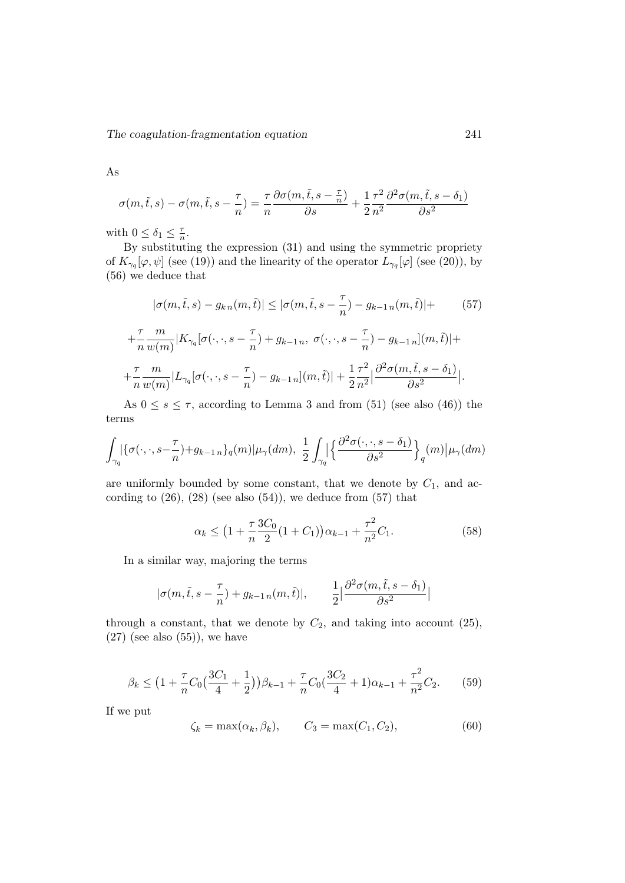As

$$
\sigma(m,\tilde{t},s) - \sigma(m,\tilde{t},s-\frac{\tau}{n}) = \frac{\tau}{n} \frac{\partial \sigma(m,\tilde{t},s-\frac{\tau}{n})}{\partial s} + \frac{1}{2} \frac{\tau^2}{n^2} \frac{\partial^2 \sigma(m,\tilde{t},s-\delta_1)}{\partial s^2}
$$

with  $0 \leq \delta_1 \leq \frac{\tau}{n}$  $\frac{\tau}{n}$ .

By substituting the expression  $(31)$  and using the symmetric propriety of  $K_{\gamma_q}[\varphi,\psi]$  (see (19)) and the linearity of the operator  $L_{\gamma_q}[\varphi]$  (see (20)), by (56) we deduce that

$$
|\sigma(m,\tilde{t},s) - g_{k\,n}(m,\tilde{t})| \leq |\sigma(m,\tilde{t},s - \frac{\tau}{n}) - g_{k-1\,n}(m,\tilde{t})| + (57)
$$
  
+ 
$$
\frac{\tau}{n} \frac{m}{w(m)} |K_{\gamma_q}[\sigma(\cdot,\cdot,s - \frac{\tau}{n}) + g_{k-1\,n},\ \sigma(\cdot,\cdot,s - \frac{\tau}{n}) - g_{k-1\,n}](m,\tilde{t})| +
$$
  
+ 
$$
\frac{\tau}{n} \frac{m}{w(m)} |L_{\gamma_q}[\sigma(\cdot,\cdot,s - \frac{\tau}{n}) - g_{k-1\,n}](m,\tilde{t})| + \frac{1}{2} \frac{\tau^2}{n^2} \left| \frac{\partial^2 \sigma(m,\tilde{t},s - \delta_1)}{\partial s^2} \right|.
$$

As  $0 \leq s \leq \tau$ , according to Lemma 3 and from (51) (see also (46)) the terms

$$
\int_{\gamma_q} \left| \{ \sigma(\cdot, \cdot, s - \frac{\tau}{n}) + g_{k-1 \, n} \} q(m) \right| \mu_\gamma(dm), \ \frac{1}{2} \int_{\gamma_q} \left| \left\{ \frac{\partial^2 \sigma(\cdot, \cdot, s - \delta_1)}{\partial s^2} \right\}_q(m) \right| \mu_\gamma(dm)
$$

are uniformly bounded by some constant, that we denote by  $C_1$ , and according to  $(26)$ ,  $(28)$  (see also  $(54)$ ), we deduce from  $(57)$  that

$$
\alpha_k \le \left(1 + \frac{\tau}{n} \frac{3C_0}{2} (1 + C_1) \right) \alpha_{k-1} + \frac{\tau^2}{n^2} C_1. \tag{58}
$$

In a similar way, majoring the terms

$$
|\sigma(m,\tilde{t},s-\frac{\tau}{n})+g_{k-1\,n}(m,\tilde{t})|, \qquad \frac{1}{2}\big|\frac{\partial^2\sigma(m,\tilde{t},s-\delta_1)}{\partial s^2}\big|
$$

through a constant, that we denote by  $C_2$ , and taking into account (25),  $(27)$  (see also  $(55)$ ), we have

$$
\beta_k \le \left(1 + \frac{\tau}{n}C_0\left(\frac{3C_1}{4} + \frac{1}{2}\right)\right)\beta_{k-1} + \frac{\tau}{n}C_0\left(\frac{3C_2}{4} + 1\right)\alpha_{k-1} + \frac{\tau^2}{n^2}C_2.
$$
 (59)

If we put

$$
\zeta_k = \max(\alpha_k, \beta_k), \qquad C_3 = \max(C_1, C_2), \tag{60}
$$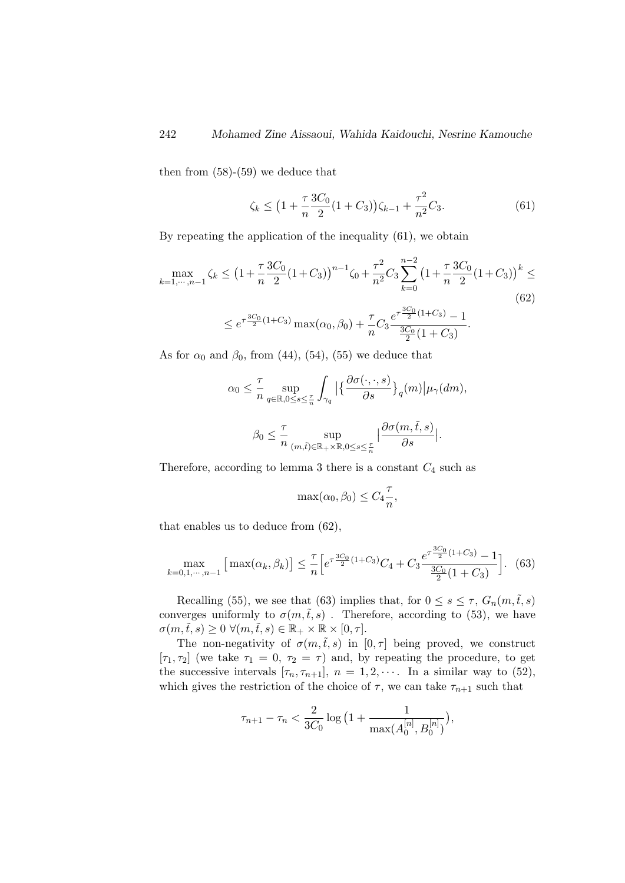then from (58)-(59) we deduce that

$$
\zeta_k \le \left(1 + \frac{\tau}{n} \frac{3C_0}{2} (1 + C_3)\right) \zeta_{k-1} + \frac{\tau^2}{n^2} C_3. \tag{61}
$$

By repeating the application of the inequality (61), we obtain

$$
\max_{k=1,\dots,n-1} \zeta_k \le \left(1 + \frac{\tau}{n} \frac{3C_0}{2} (1 + C_3)\right)^{n-1} \zeta_0 + \frac{\tau^2}{n^2} C_3 \sum_{k=0}^{n-2} \left(1 + \frac{\tau}{n} \frac{3C_0}{2} (1 + C_3)\right)^k \le
$$
\n
$$
\le e^{\tau \frac{3C_0}{2} (1 + C_3)} \max(\alpha_0, \beta_0) + \frac{\tau}{n} C_3 \frac{e^{\tau \frac{3C_0}{2} (1 + C_3)} - 1}{\frac{3C_0}{2} (1 + C_3)}.
$$
\n(62)

As for  $\alpha_0$  and  $\beta_0$ , from (44), (54), (55) we deduce that

$$
\alpha_0 \leq \frac{\tau}{n} \sup_{q \in \mathbb{R}, 0 \leq s \leq \frac{\tau}{n}} \int_{\gamma_q} \left| \left\{ \frac{\partial \sigma(\cdot, \cdot, s)}{\partial s} \right\}_q(m) \right| \mu_\gamma(dm),
$$

$$
\beta_0 \leq \frac{\tau}{n} \sup_{(m,\tilde{t}) \in \mathbb{R}_+ \times \mathbb{R}, 0 \leq s \leq \frac{\tau}{n}} \left| \frac{\partial \sigma(m,\tilde{t},s)}{\partial s} \right|.
$$

Therefore, according to lemma 3 there is a constant  $C_4$  such as

$$
\max(\alpha_0, \beta_0) \le C_4 \frac{\tau}{n},
$$

that enables us to deduce from (62),

$$
\max_{k=0,1,\cdots,n-1} \left[ \max(\alpha_k, \beta_k) \right] \le \frac{\tau}{n} \left[ e^{\tau \frac{3C_0}{2} (1+C_3)} C_4 + C_3 \frac{e^{\tau \frac{3C_0}{2} (1+C_3)} - 1}{\frac{3C_0}{2} (1+C_3)} \right].
$$
 (63)

Recalling (55), we see that (63) implies that, for  $0 \leq s \leq \tau$ ,  $G_n(m, \tilde{t}, s)$ converges uniformly to  $\sigma(m,\tilde{t},s)$ . Therefore, according to (53), we have  $\sigma(m,\tilde{t},s) \geq 0 \ \forall (m,\tilde{t},s) \in \mathbb{R}_+ \times \mathbb{R} \times [0,\tau].$ 

The non-negativity of  $\sigma(m,\tilde{t},s)$  in  $[0, \tau]$  being proved, we construct [ $\tau_1, \tau_2$ ] (we take  $\tau_1 = 0, \tau_2 = \tau$ ) and, by repeating the procedure, to get the successive intervals  $[\tau_n, \tau_{n+1}], n = 1, 2, \cdots$ . In a similar way to (52), which gives the restriction of the choice of  $\tau$ , we can take  $\tau_{n+1}$  such that

$$
\tau_{n+1} - \tau_n < \frac{2}{3C_0} \log \big( 1 + \frac{1}{\max(A_0^{[n]}, B_0^{[n]})} \big),
$$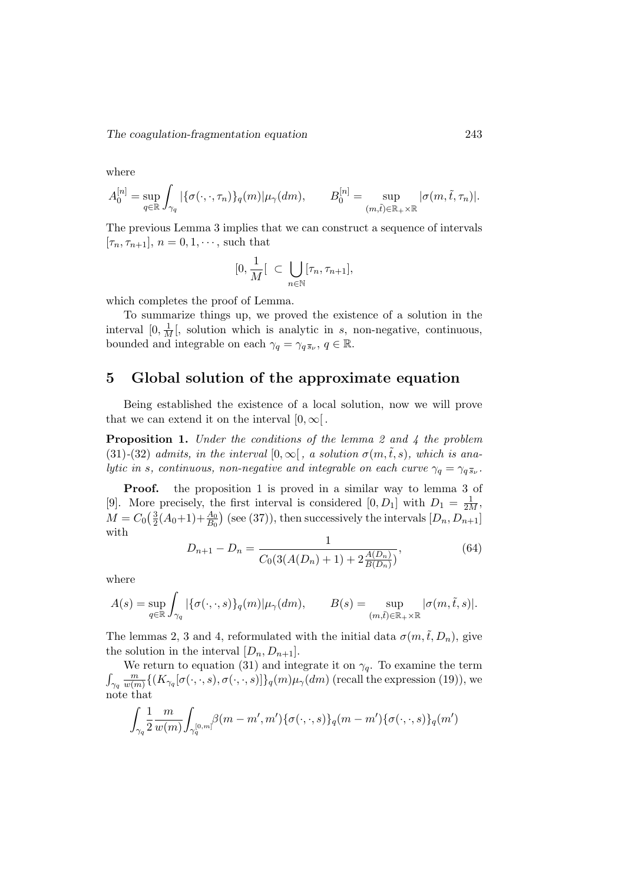where

$$
A_0^{[n]} = \sup_{q \in \mathbb{R}} \int_{\gamma_q} |\{\sigma(\cdot,\cdot,\tau_n)\}_q(m)| \mu_\gamma(dm), \qquad B_0^{[n]} = \sup_{(m,\tilde{t}) \in \mathbb{R}_+ \times \mathbb{R}} |\sigma(m,\tilde{t},\tau_n)|.
$$

The previous Lemma 3 implies that we can construct a sequence of intervals  $[\tau_n, \tau_{n+1}], n = 0, 1, \dots$ , such that

$$
[0, \frac{1}{M} [\subset \bigcup_{n \in \mathbb{N}} [\tau_n, \tau_{n+1}],
$$

which completes the proof of Lemma.

To summarize things up, we proved the existence of a solution in the interval  $[0, \frac{1}{M}]$ , solution which is analytic in s, non-negative, continuous, bounded and integrable on each  $\gamma_q = \gamma_{q\bar{s}_{\nu}}, q \in \mathbb{R}$ .

# 5 Global solution of the approximate equation

Being established the existence of a local solution, now we will prove that we can extend it on the interval  $[0, \infty)$ .

**Proposition 1.** Under the conditions of the lemma 2 and 4 the problem (31)-(32) admits, in the interval  $[0,\infty[$ , a solution  $\sigma(m,\tilde{t},s)$ , which is analytic in s, continuous, non-negative and integrable on each curve  $\gamma_q = \gamma_q \overline{s}_{\nu}$ .

Proof. the proposition 1 is proved in a similar way to lemma 3 of [9]. More precisely, the first interval is considered  $[0, D_1]$  with  $D_1 = \frac{1}{2M}$ ,  $M = C_0 \left( \frac{3}{2} \right)$  $\frac{3}{2}(A_0+1)+\frac{A_0}{B_0}$  (see (37)), then successively the intervals  $[D_n, D_{n+1}]$ with

$$
D_{n+1} - D_n = \frac{1}{C_0(3(A(D_n) + 1) + 2\frac{A(D_n)}{B(D_n)})},\tag{64}
$$

where

$$
A(s) = \sup_{q \in \mathbb{R}} \int_{\gamma_q} |\{\sigma(\cdot,\cdot,s)\}_q(m)| \mu_\gamma(dm), \qquad B(s) = \sup_{(m,\tilde{t}) \in \mathbb{R}_+ \times \mathbb{R}} |\sigma(m,\tilde{t},s)|.
$$

The lemmas 2, 3 and 4, reformulated with the initial data  $\sigma(m,\tilde{t}, D_n)$ , give the solution in the interval  $[D_n, D_{n+1}].$ 

We return to equation (31) and integrate it on  $\gamma_q$ . To examine the term  $\int_{\gamma_q}$ m  $\frac{m}{w(m)}\{(K_{\gamma_q}[\sigma(\cdot,\cdot,s),\sigma(\cdot,\cdot,s)]\}_q(m)\mu_\gamma(dm)$  (recall the expression (19)), we note that

$$
\int_{\gamma_q}\! \frac{1}{2}\frac{m}{w(m)}\!\int_{\gamma_q^{[0,m]}}\!\!\beta(m-m',m')\{\sigma(\cdot,\cdot,s)\}_q(m-m')\{\sigma(\cdot,\cdot,s)\}_q(m')
$$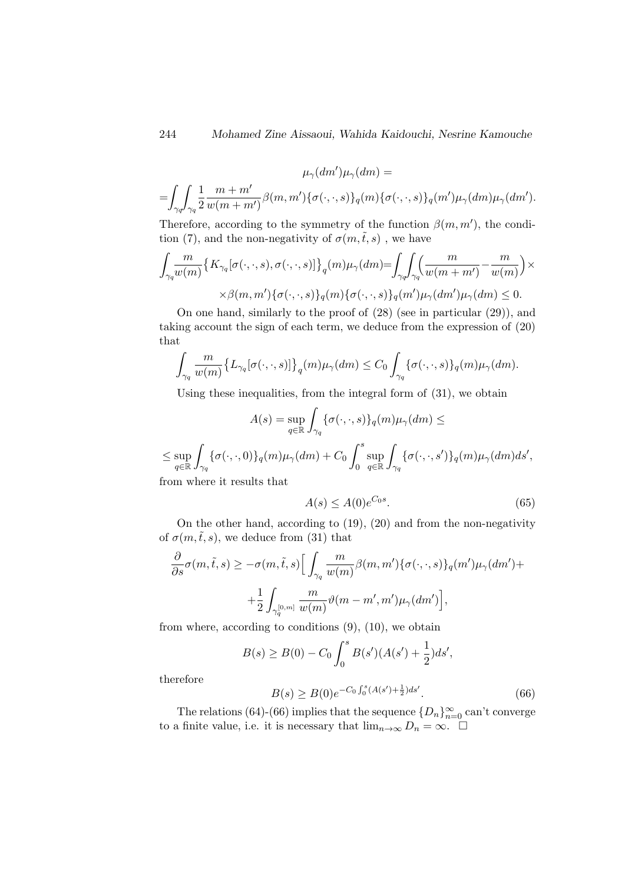$$
\mu_{\gamma}(dm')\mu_{\gamma}(dm) =
$$
  
= 
$$
\int_{\gamma_q} \int_{\gamma_q} \frac{1}{2} \frac{m+m'}{w(m+m')} \beta(m,m') \{\sigma(\cdot,\cdot,s)\}_q(m) \{\sigma(\cdot,\cdot,s)\}_q(m') \mu_{\gamma}(dm) \mu_{\gamma}(dm').
$$

Therefore, according to the symmetry of the function  $\beta(m, m')$ , the condition (7), and the non-negativity of  $\sigma(m,\tilde{t},s)$ , we have

$$
\int_{\gamma_q} \frac{m}{w(m)} \{ K_{\gamma_q}[\sigma(\cdot,\cdot,s),\sigma(\cdot,\cdot,s)] \}_q(m) \mu_\gamma(dm) = \int_{\gamma_q} \int_{\gamma_q} \left( \frac{m}{w(m+m')} - \frac{m}{w(m)} \right) \times \times \beta(m,m') \{ \sigma(\cdot,\cdot,s) \}_q(m) \{ \sigma(\cdot,\cdot,s) \}_q(m') \mu_\gamma(dm') \mu_\gamma(dm) \le 0.
$$

On one hand, similarly to the proof of (28) (see in particular (29)), and taking account the sign of each term, we deduce from the expression of (20) that

$$
\int_{\gamma_q} \frac{m}{w(m)} \big\{ L_{\gamma_q}[\sigma(\cdot,\cdot,s)] \big\}_q(m) \mu_\gamma(dm) \leq C_0 \int_{\gamma_q} \{ \sigma(\cdot,\cdot,s) \}_q(m) \mu_\gamma(dm).
$$

Using these inequalities, from the integral form of (31), we obtain

$$
A(s) = \sup_{q \in \mathbb{R}} \int_{\gamma_q} {\{\sigma(\cdot, \cdot, s)\}_q(m)\mu_\gamma(dm)} \le
$$
  

$$
\leq \sup_{q \in \mathbb{R}} \int_{\gamma_q} {\{\sigma(\cdot, \cdot, 0)\}_q(m)\mu_\gamma(dm)} + C_0 \int_0^s \sup_{q \in \mathbb{R}} \int_{\gamma_q} {\{\sigma(\cdot, \cdot, s')\}_q(m)\mu_\gamma(dm)ds'},
$$

from where it results that

$$
A(s) \le A(0)e^{C_0 s}.\tag{65}
$$

On the other hand, according to (19), (20) and from the non-negativity of  $\sigma(m,\tilde{t},s)$ , we deduce from (31) that

$$
\frac{\partial}{\partial s}\sigma(m,\tilde{t},s) \ge -\sigma(m,\tilde{t},s) \Big[ \int_{\gamma_q} \frac{m}{w(m)} \beta(m,m') \{ \sigma(\cdot,\cdot,s) \}_q(m') \mu_\gamma(dm') +
$$

$$
+ \frac{1}{2} \int_{\gamma_q^{[0,m]}} \frac{m}{w(m)} \vartheta(m-m',m') \mu_\gamma(dm') \Big],
$$

from where, according to conditions (9), (10), we obtain

$$
B(s) \ge B(0) - C_0 \int_0^s B(s')(A(s') + \frac{1}{2})ds',
$$

therefore

$$
B(s) \ge B(0)e^{-C_0 \int_0^s (A(s') + \frac{1}{2})ds'}.
$$
\n(66)

The relations (64)-(66) implies that the sequence  ${D_n}_{n=0}^{\infty}$  can't converge to a finite value, i.e. it is necessary that  $\lim_{n\to\infty} D_n = \infty$ .  $\Box$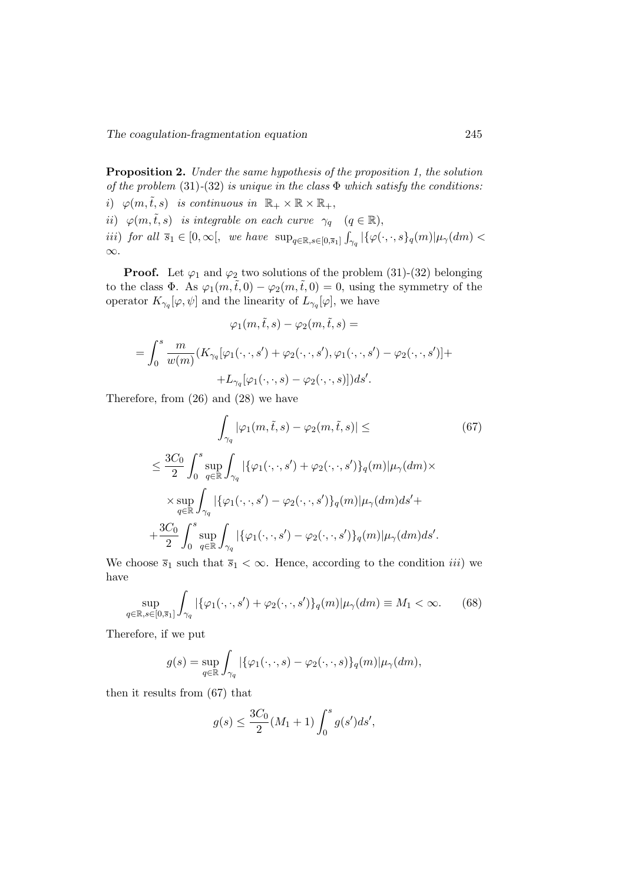∞.

Proposition 2. Under the same hypothesis of the proposition 1, the solution of the problem  $(31)-(32)$  is unique in the class  $\Phi$  which satisfy the conditions: i)  $\varphi(m,\tilde{t},s)$  is continuous in  $\mathbb{R}_+ \times \mathbb{R} \times \mathbb{R}_+$ , ii)  $\varphi(m,\tilde{t},s)$  is integrable on each curve  $\gamma_q$   $(q \in \mathbb{R}),$ iii) for all  $\overline{s}_1 \in [0, \infty[,$  we have  $\sup_{q \in \mathbb{R}, s \in [0, \overline{s}_1]} \int_{\gamma_q} |\{\varphi(\cdot, \cdot, s\}_q(m)| \mu_\gamma(dm)| <$ 

**Proof.** Let  $\varphi_1$  and  $\varphi_2$  two solutions of the problem (31)-(32) belonging to the class  $\Phi$ . As  $\varphi_1(m,\tilde{t},0) - \varphi_2(m,\tilde{t},0) = 0$ , using the symmetry of the operator  $K_{\gamma_q}[\varphi,\psi]$  and the linearity of  $L_{\gamma_q}[\varphi]$ , we have

$$
\varphi_1(m,\tilde{t},s) - \varphi_2(m,\tilde{t},s) =
$$
  
= 
$$
\int_0^s \frac{m}{w(m)} (K_{\gamma_q}[\varphi_1(\cdot,\cdot,s') + \varphi_2(\cdot,\cdot,s'),\varphi_1(\cdot,\cdot,s') - \varphi_2(\cdot,\cdot,s')] +
$$
  
+ 
$$
L_{\gamma_q}[\varphi_1(\cdot,\cdot,s) - \varphi_2(\cdot,\cdot,s)]) ds'.
$$

Therefore, from (26) and (28) we have

$$
\int_{\gamma_q} |\varphi_1(m, \tilde{t}, s) - \varphi_2(m, \tilde{t}, s)| \leq
$$
\n
$$
\leq \frac{3C_0}{2} \int_0^s \sup_{q \in \mathbb{R}} \int_{\gamma_q} |\{\varphi_1(\cdot, \cdot, s') + \varphi_2(\cdot, \cdot, s')\}_q(m)| \mu_\gamma(dm) \times
$$
\n
$$
\times \sup_{q \in \mathbb{R}} \int_{\gamma_q} |\{\varphi_1(\cdot, \cdot, s') - \varphi_2(\cdot, \cdot, s')\}_q(m)| \mu_\gamma(dm) ds' +
$$
\n
$$
+ \frac{3C_0}{2} \int_0^s \sup_{q \in \mathbb{R}} \int_{\gamma_q} |\{\varphi_1(\cdot, \cdot, s') - \varphi_2(\cdot, \cdot, s')\}_q(m)| \mu_\gamma(dm) ds'.
$$
\n(67)

We choose  $\bar{s}_1$  such that  $\bar{s}_1 < \infty$ . Hence, according to the condition *iii*) we have

$$
\sup_{q \in \mathbb{R}, s \in [0, \bar{s}_1]} \int_{\gamma_q} |\{\varphi_1(\cdot, \cdot, s') + \varphi_2(\cdot, \cdot, s')\}_q(m)| \mu_\gamma(dm) \equiv M_1 < \infty. \tag{68}
$$

Therefore, if we put

$$
g(s) = \sup_{q \in \mathbb{R}} \int_{\gamma_q} |\{\varphi_1(\cdot,\cdot,s) - \varphi_2(\cdot,\cdot,s)\}_q(m)| \mu_\gamma(dm),
$$

then it results from (67) that

$$
g(s) \le \frac{3C_0}{2}(M_1 + 1) \int_0^s g(s')ds',
$$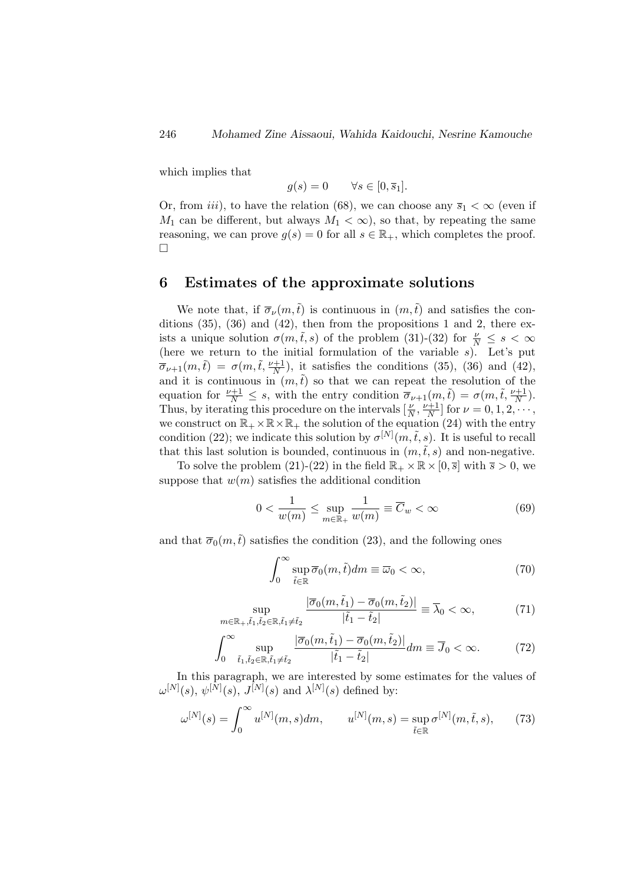which implies that

$$
g(s) = 0 \qquad \forall s \in [0, \overline{s}_1].
$$

Or, from *iii*), to have the relation (68), we can choose any  $\overline{s}_1 < \infty$  (even if  $M_1$  can be different, but always  $M_1 < \infty$ , so that, by repeating the same reasoning, we can prove  $g(s) = 0$  for all  $s \in \mathbb{R}_+$ , which completes the proof.  $\Box$ 

# 6 Estimates of the approximate solutions

We note that, if  $\overline{\sigma}_{\nu}(m,\tilde{t})$  is continuous in  $(m,\tilde{t})$  and satisfies the conditions  $(35)$ ,  $(36)$  and  $(42)$ , then from the propositions 1 and 2, there exists a unique solution  $\sigma(m,\tilde{t},s)$  of the problem (31)-(32) for  $\frac{\nu}{N} \leq s < \infty$ (here we return to the initial formulation of the variable  $s$ ). Let's put  $\overline{\sigma}_{\nu+1}(m,\tilde{t}) = \sigma(m,\tilde{t},\frac{\nu+1}{N}),$  it satisfies the conditions (35), (36) and (42), and it is continuous in  $(m,\tilde{t})$  so that we can repeat the resolution of the equation for  $\frac{\nu+1}{N} \leq s$ , with the entry condition  $\overline{\sigma}_{\nu+1}(m,\tilde{t}) = \sigma(m,\tilde{t},\frac{\nu+1}{N}).$ Thus, by iterating this procedure on the intervals  $\left[\frac{\nu}{N}, \frac{\nu+1}{N}\right]$  $\frac{\nu+1}{N}$  for  $\nu = 0, 1, 2, \cdots,$ we construct on  $\mathbb{R}_+ \times \mathbb{R} \times \mathbb{R}_+$  the solution of the equation (24) with the entry condition (22); we indicate this solution by  $\sigma^{[N]}(m,\tilde{t},s)$ . It is useful to recall that this last solution is bounded, continuous in  $(m,\tilde{t},s)$  and non-negative.

To solve the problem (21)-(22) in the field  $\mathbb{R}_+ \times \mathbb{R} \times [0, \overline{s}]$  with  $\overline{s} > 0$ , we suppose that  $w(m)$  satisfies the additional condition

$$
0 < \frac{1}{w(m)} \le \sup_{m \in \mathbb{R}_+} \frac{1}{w(m)} \equiv \overline{C}_w < \infty \tag{69}
$$

and that  $\overline{\sigma}_0(m,\tilde{t})$  satisfies the condition (23), and the following ones

$$
\int_0^\infty \sup_{\tilde{t}\in\mathbb{R}} \overline{\sigma}_0(m,\tilde{t}) dm \equiv \overline{\omega}_0 < \infty,
$$
\n(70)

$$
\sup_{m \in \mathbb{R}_+, \tilde{t}_1, \tilde{t}_2 \in \mathbb{R}, \tilde{t}_1 \neq \tilde{t}_2} \frac{|\overline{\sigma}_0(m, \tilde{t}_1) - \overline{\sigma}_0(m, \tilde{t}_2)|}{|\tilde{t}_1 - \tilde{t}_2|} \equiv \overline{\lambda}_0 < \infty,\tag{71}
$$

$$
\int_0^\infty \sup_{\tilde{t}_1, \tilde{t}_2 \in \mathbb{R}, \tilde{t}_1 \neq \tilde{t}_2} \frac{|\overline{\sigma}_0(m, \tilde{t}_1) - \overline{\sigma}_0(m, \tilde{t}_2)|}{|\tilde{t}_1 - \tilde{t}_2|} dm \equiv \overline{J}_0 < \infty. \tag{72}
$$

In this paragraph, we are interested by some estimates for the values of  $\omega^{[N]}(s), \psi^{[N]}(s), J^{[N]}(s)$  and  $\lambda^{[N]}(s)$  defined by:

$$
\omega^{[N]}(s) = \int_0^\infty u^{[N]}(m, s) dm, \qquad u^{[N]}(m, s) = \sup_{\tilde{t} \in \mathbb{R}} \sigma^{[N]}(m, \tilde{t}, s), \qquad (73)
$$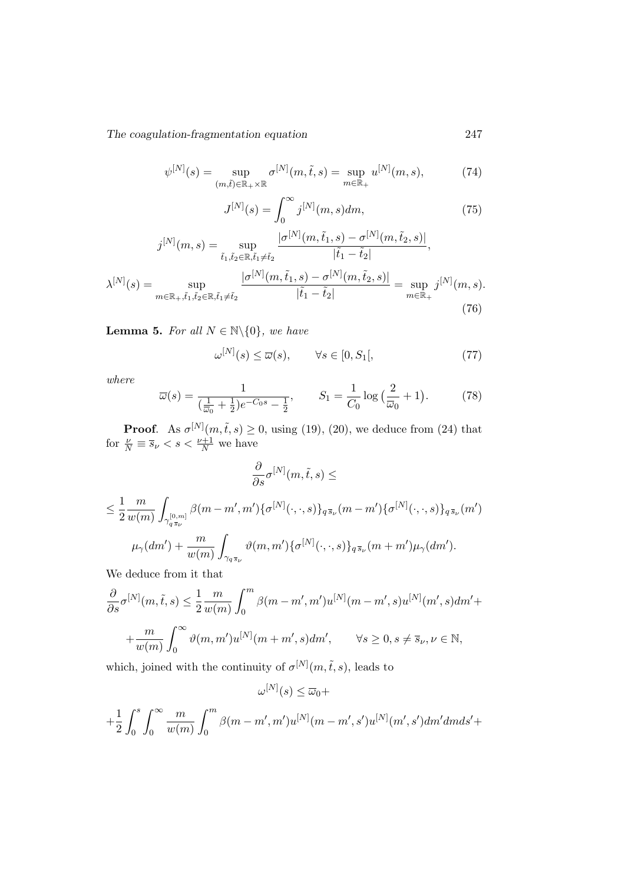$$
\psi^{[N]}(s) = \sup_{(m,\tilde{t}) \in \mathbb{R}_+ \times \mathbb{R}} \sigma^{[N]}(m,\tilde{t},s) = \sup_{m \in \mathbb{R}_+} u^{[N]}(m,s),\tag{74}
$$

$$
J^{[N]}(s) = \int_0^\infty j^{[N]}(m, s) dm,
$$
\n(75)

$$
j^{[N]}(m,s) = \sup_{\tilde{t}_1, \tilde{t}_2 \in \mathbb{R}, \tilde{t}_1 \neq \tilde{t}_2} \frac{|\sigma^{[N]}(m, \tilde{t}_1, s) - \sigma^{[N]}(m, \tilde{t}_2, s)|}{|\tilde{t}_1 - \tilde{t}_2|},
$$

$$
\lambda^{[N]}(s) = \sup_{m \in \mathbb{R}_+, \tilde{t}_1, \tilde{t}_2 \in \mathbb{R}, \tilde{t}_1 \neq \tilde{t}_2} \frac{|\sigma^{[N]}(m, \tilde{t}_1, s) - \sigma^{[N]}(m, \tilde{t}_2, s)|}{|\tilde{t}_1 - \tilde{t}_2|} = \sup_{m \in \mathbb{R}_+} j^{[N]}(m, s).
$$
(76)

**Lemma 5.** For all  $N \in \mathbb{N} \setminus \{0\}$ , we have

$$
\omega^{[N]}(s) \le \overline{\omega}(s), \qquad \forall s \in [0, S_1[, \tag{77}
$$

where

$$
\overline{\omega}(s) = \frac{1}{(\frac{1}{\overline{\omega}_0} + \frac{1}{2})e^{-C_0 s} - \frac{1}{2}}, \qquad S_1 = \frac{1}{C_0} \log\left(\frac{2}{\overline{\omega}_0} + 1\right). \tag{78}
$$

**Proof.** As  $\sigma^{[N]}(m,\tilde{t},s) \ge 0$ , using (19), (20), we deduce from (24) that for  $\frac{\nu}{N} \equiv \overline{s}_{\nu} < s < \frac{\nu+1}{N}$  we have

$$
\frac{\partial}{\partial s} \sigma^{[N]}(m, \tilde{t}, s) \le
$$
\n
$$
\leq \frac{1}{2} \frac{m}{w(m)} \int_{\gamma_{q_{\overline{s}}_{\nu}}} \beta(m - m', m') \{ \sigma^{[N]}(\cdot, \cdot, s) \}_{q_{\overline{s}}_{\nu}} (m - m') \{ \sigma^{[N]}(\cdot, \cdot, s) \}_{q_{\overline{s}}_{\nu}} (m')
$$
\n
$$
\mu_{\gamma}(dm') + \frac{m}{w(m)} \int_{\gamma_{q_{\overline{s}}_{\nu}}} \vartheta(m, m') \{ \sigma^{[N]}(\cdot, \cdot, s) \}_{q_{\overline{s}}_{\nu}} (m + m') \mu_{\gamma}(dm').
$$

We deduce from it that

$$
\frac{\partial}{\partial s}\sigma^{[N]}(m,\tilde{t},s) \le \frac{1}{2}\frac{m}{w(m)} \int_0^m \beta(m-m',m')u^{[N]}(m-m',s)u^{[N]}(m',s)dm' + \frac{m}{w(m)} \int_0^\infty \vartheta(m,m')u^{[N]}(m+m',s)dm', \qquad \forall s \ge 0, s \ne \overline{s}_{\nu}, \nu \in \mathbb{N},
$$

which, joined with the continuity of  $\sigma^{[N]}(m,\tilde{t},s)$ , leads to

$$
\omega^{[N]}(s) \le \overline{\omega}_0 +
$$
  
+ $\frac{1}{2} \int_0^s \int_0^\infty \frac{m}{w(m)} \int_0^m \beta(m - m', m') u^{[N]}(m - m', s') u^{[N]}(m', s') dm' dm ds' +$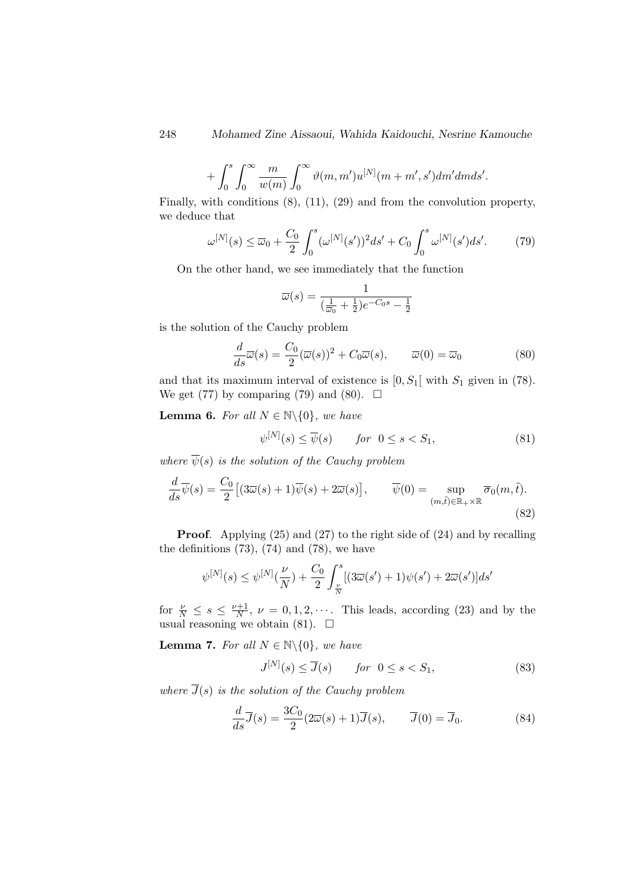$$
+\int_0^s \int_0^\infty \frac{m}{w(m)} \int_0^\infty \vartheta(m,m') u^{[N]}(m+m',s') dm' dm ds'.
$$

Finally, with conditions (8), (11), (29) and from the convolution property, we deduce that

$$
\omega^{[N]}(s) \le \overline{\omega}_0 + \frac{C_0}{2} \int_0^s (\omega^{[N]}(s'))^2 ds' + C_0 \int_0^s \omega^{[N]}(s') ds'. \tag{79}
$$

On the other hand, we see immediately that the function

$$
\overline{\omega}(s) = \frac{1}{(\frac{1}{\overline{\omega}_0} + \frac{1}{2})e^{-C_0 s} - \frac{1}{2}}
$$

is the solution of the Cauchy problem

$$
\frac{d}{ds}\overline{\omega}(s) = \frac{C_0}{2}(\overline{\omega}(s))^2 + C_0\overline{\omega}(s), \qquad \overline{\omega}(0) = \overline{\omega}_0
$$
\n(80)

and that its maximum interval of existence is  $[0, S_1]$  with  $S_1$  given in (78). We get (77) by comparing (79) and (80).  $\Box$ 

**Lemma 6.** For all  $N \in \mathbb{N} \setminus \{0\}$ , we have

$$
\psi^{[N]}(s) \le \overline{\psi}(s) \qquad \text{for} \ \ 0 \le s < S_1,\tag{81}
$$

where  $\overline{\psi}(s)$  is the solution of the Cauchy problem

$$
\frac{d}{ds}\overline{\psi}(s) = \frac{C_0}{2} \left[ (3\overline{\omega}(s) + 1)\overline{\psi}(s) + 2\overline{\omega}(s) \right], \qquad \overline{\psi}(0) = \sup_{(m,\tilde{t}) \in \mathbb{R}_+ \times \mathbb{R}} \overline{\sigma}_0(m,\tilde{t}).
$$
\n(82)

Proof. Applying (25) and (27) to the right side of (24) and by recalling the definitions  $(73)$ ,  $(74)$  and  $(78)$ , we have

$$
\psi^{[N]}(s) \leq \psi^{[N]}(\frac{\nu}{N}) + \frac{C_0}{2} \int_{\frac{\nu}{N}}^{s} [(3\overline{\omega}(s') + 1)\psi(s') + 2\overline{\omega}(s')] ds'
$$

for  $\frac{\nu}{N} \leq s \leq \frac{\nu+1}{N}$  $\frac{N+1}{N}$ ,  $\nu = 0, 1, 2, \cdots$ . This leads, according (23) and by the usual reasoning we obtain (81).  $\Box$ 

**Lemma 7.** For all  $N \in \mathbb{N} \setminus \{0\}$ , we have

$$
J^{[N]}(s) \le \overline{J}(s) \qquad \text{for} \ \ 0 \le s < S_1,\tag{83}
$$

where  $\overline{J}(s)$  is the solution of the Cauchy problem

$$
\frac{d}{ds}\overline{J}(s) = \frac{3C_0}{2}(2\overline{\omega}(s) + 1)\overline{J}(s), \qquad \overline{J}(0) = \overline{J}_0.
$$
 (84)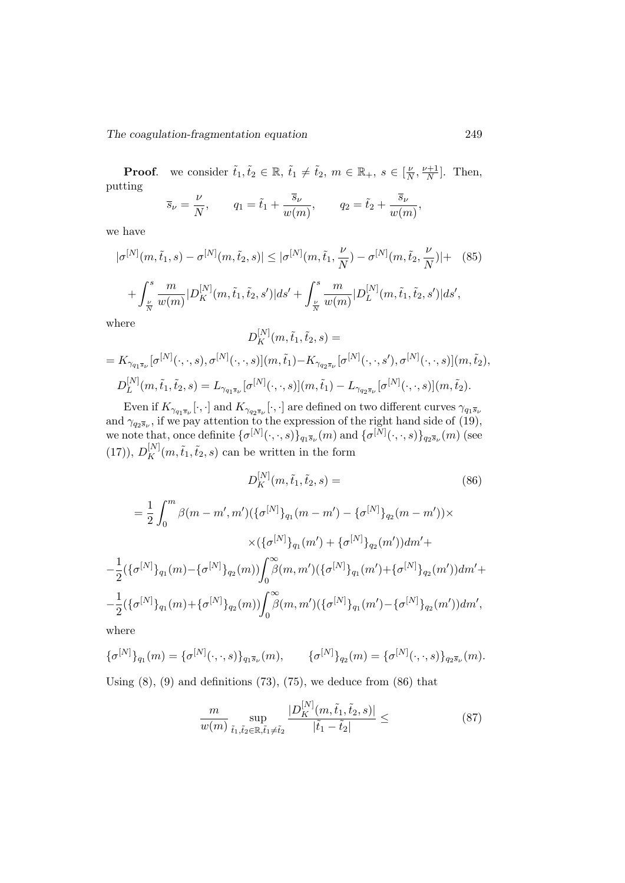**Proof.** we consider  $\tilde{t}_1, \tilde{t}_2 \in \mathbb{R}$ ,  $\tilde{t}_1 \neq \tilde{t}_2$ ,  $m \in \mathbb{R}_+$ ,  $s \in [\frac{\nu}{\Lambda}]$  $\frac{\nu}{N}, \frac{\nu+1}{N}$  $\frac{n+1}{N}$ . Then, putting

$$
\overline{s}_{\nu} = \frac{\nu}{N}
$$
,  $q_1 = \tilde{t}_1 + \frac{\overline{s}_{\nu}}{w(m)}$ ,  $q_2 = \tilde{t}_2 + \frac{\overline{s}_{\nu}}{w(m)}$ ,

we have

$$
|\sigma^{[N]}(m,\tilde{t}_1,s) - \sigma^{[N]}(m,\tilde{t}_2,s)| \leq |\sigma^{[N]}(m,\tilde{t}_1,\frac{\nu}{N}) - \sigma^{[N]}(m,\tilde{t}_2,\frac{\nu}{N})| + (85) + \int_{\frac{\nu}{N}}^s \frac{m}{w(m)} |D_K^{[N]}(m,\tilde{t}_1,\tilde{t}_2,s')| ds' + \int_{\frac{\nu}{N}}^s \frac{m}{w(m)} |D_L^{[N]}(m,\tilde{t}_1,\tilde{t}_2,s')| ds',
$$

where

$$
D_K^{[N]}(m, \tilde{t}_1, \tilde{t}_2, s) =
$$
  
=  $K_{\gamma_{q_1 \overline{s}_\nu}}[\sigma^{[N]}(\cdot, \cdot, s), \sigma^{[N]}(\cdot, \cdot, s)](m, \tilde{t}_1) - K_{\gamma_{q_2 \overline{s}_\nu}}[\sigma^{[N]}(\cdot, \cdot, s'), \sigma^{[N]}(\cdot, \cdot, s)](m, \tilde{t}_2),$   

$$
D_L^{[N]}(m, \tilde{t}_1, \tilde{t}_2, s) = L_{\gamma_{q_1 \overline{s}_\nu}}[\sigma^{[N]}(\cdot, \cdot, s)](m, \tilde{t}_1) - L_{\gamma_{q_2 \overline{s}_\nu}}[\sigma^{[N]}(\cdot, \cdot, s)](m, \tilde{t}_2).
$$

Even if  $K_{\gamma_{q_1\overline{s}_\nu}}[\cdot,\cdot]$  and  $K_{\gamma_{q_2\overline{s}_\nu}}[\cdot,\cdot]$  are defined on two different curves  $\gamma_{q_1\overline{s}_\nu}$ and  $\gamma_{q_2\bar{s}\nu}$ , if we pay attention to the expression of the right hand side of (19), we note that, once definite  $\{\sigma^{[N]}(\cdot,\cdot,s)\}_{q_1\bar{s}_{\nu}}(m)$  and  $\{\sigma^{[N]}(\cdot,\cdot,s)\}_{q_2\bar{s}_{\nu}}(m)$  (see (17)),  $D_K^{[N]}(m,\tilde{t}_1,\tilde{t}_2,s)$  can be written in the form

$$
D_K^{[N]}(m, \tilde{t}_1, \tilde{t}_2, s) = \qquad (86)
$$
  

$$
= \frac{1}{2} \int_0^m \beta(m - m', m') (\{\sigma^{[N]}\}_{q_1}(m - m') - \{\sigma^{[N]}\}_{q_2}(m - m')) \times
$$

$$
\times (\{\sigma^{[N]}\}_{q_1}(m') + \{\sigma^{[N]}\}_{q_2}(m')) dm' +
$$

$$
- \frac{1}{2} (\{\sigma^{[N]}\}_{q_1}(m) - \{\sigma^{[N]}\}_{q_2}(m)) \int_0^\infty \beta(m, m') (\{\sigma^{[N]}\}_{q_1}(m') + \{\sigma^{[N]}\}_{q_2}(m')) dm' +
$$

$$
- \frac{1}{2} (\{\sigma^{[N]}\}_{q_1}(m) + \{\sigma^{[N]}\}_{q_2}(m)) \int_0^\infty \beta(m, m') (\{\sigma^{[N]}\}_{q_1}(m') - \{\sigma^{[N]}\}_{q_2}(m')) dm',
$$

where

$$
\{\sigma^{[N]}\}_{{q_1}}(m) = \{\sigma^{[N]}(\cdot,\cdot,s)\}_{{q_1}\bar{s}_{\nu}}(m), \qquad \{\sigma^{[N]}\}_{{q_2}}(m) = \{\sigma^{[N]}(\cdot,\cdot,s)\}_{{q_2}\bar{s}_{\nu}}(m).
$$

Using  $(8)$ ,  $(9)$  and definitions  $(73)$ ,  $(75)$ , we deduce from  $(86)$  that

$$
\frac{m}{w(m)} \sup_{\tilde{t}_1, \tilde{t}_2 \in \mathbb{R}, \tilde{t}_1 \neq \tilde{t}_2} \frac{|D_K^{[N]}(m, \tilde{t}_1, \tilde{t}_2, s)|}{|\tilde{t}_1 - \tilde{t}_2|} \leq
$$
\n(87)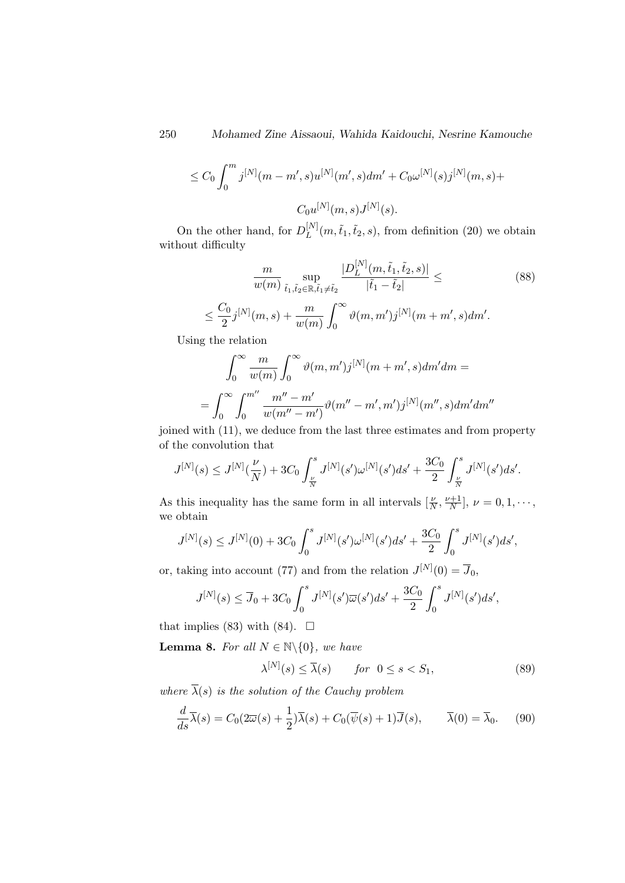$$
\leq C_0 \int_0^m j^{[N]}(m-m',s)u^{[N]}(m',s)dm' + C_0 \omega^{[N]}(s)j^{[N]}(m,s) +
$$
  

$$
C_0 u^{[N]}(m,s)J^{[N]}(s).
$$

On the other hand, for  $D_L^{[N]}$  $L^{[N]}(m,\tilde{t}_1,\tilde{t}_2,s)$ , from definition (20) we obtain without difficulty

$$
\frac{m}{w(m)} \sup_{\tilde{t}_1, \tilde{t}_2 \in \mathbb{R}, \tilde{t}_1 \neq \tilde{t}_2} \frac{|D_L^{[N]}(m, \tilde{t}_1, \tilde{t}_2, s)|}{|\tilde{t}_1 - \tilde{t}_2|} \leq
$$
\n
$$
\leq \frac{C_0}{2} j^{[N]}(m, s) + \frac{m}{w(m)} \int_0^\infty \vartheta(m, m') j^{[N]}(m + m', s) dm'.
$$
\n(88)

Using the relation

$$
\int_0^{\infty} \frac{m}{w(m)} \int_0^{\infty} \vartheta(m, m') j^{[N]}(m + m', s) dm' dm =
$$
  
= 
$$
\int_0^{\infty} \int_0^{m''} \frac{m'' - m'}{w(m'' - m')} \vartheta(m'' - m', m') j^{[N]}(m'', s) dm' dm''
$$

joined with (11), we deduce from the last three estimates and from property of the convolution that

$$
J^{[N]}(s) \leq J^{[N]}(\frac{\nu}{N}) + 3C_0 \int_{\frac{\nu}{N}}^s J^{[N]}(s') \omega^{[N]}(s') ds' + \frac{3C_0}{2} \int_{\frac{\nu}{N}}^s J^{[N]}(s') ds'.
$$

As this inequality has the same form in all intervals  $\left[\frac{\nu}{N}, \frac{\nu+1}{N}\right]$  $\frac{\nu+1}{N}$ ,  $\nu = 0, 1, \cdots,$ we obtain

$$
J^{[N]}(s) \le J^{[N]}(0) + 3C_0 \int_0^s J^{[N]}(s') \omega^{[N]}(s') ds' + \frac{3C_0}{2} \int_0^s J^{[N]}(s') ds',
$$

or, taking into account (77) and from the relation  $J^{[N]}(0) = \overline{J}_0$ ,

$$
J^{[N]}(s) \le \overline{J}_0 + 3C_0 \int_0^s J^{[N]}(s') \overline{\omega}(s') ds' + \frac{3C_0}{2} \int_0^s J^{[N]}(s') ds',
$$

that implies (83) with (84).  $\Box$ 

**Lemma 8.** For all  $N \in \mathbb{N} \setminus \{0\}$ , we have

$$
\lambda^{[N]}(s) \le \overline{\lambda}(s) \qquad \text{for} \ \ 0 \le s < S_1,\tag{89}
$$

where  $\overline{\lambda}(s)$  is the solution of the Cauchy problem

$$
\frac{d}{ds}\overline{\lambda}(s) = C_0(2\overline{\omega}(s) + \frac{1}{2})\overline{\lambda}(s) + C_0(\overline{\psi}(s) + 1)\overline{J}(s), \qquad \overline{\lambda}(0) = \overline{\lambda}_0. \tag{90}
$$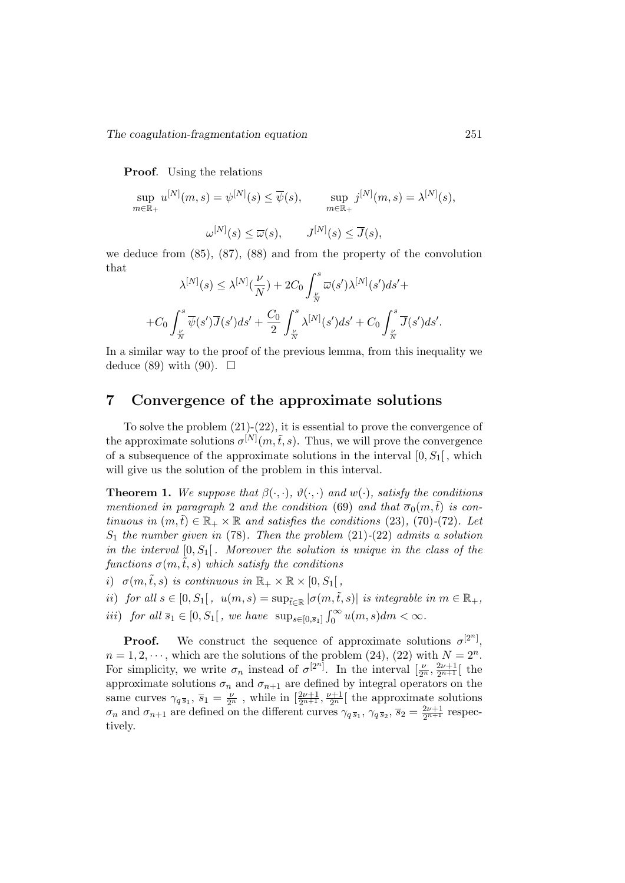Proof. Using the relations

sup  $m$ ∈ $\tilde{\mathbb{R}}_+$  $u^{[N]}(m,s) = \psi^{[N]}(s) \leq \overline{\psi}(s), \quad \text{sup}$  $m$ ∈ $\mathbb{\tilde{R}}_{+}$  $j^{[N]}(m,s)=\lambda^{[N]}(s),$ 

$$
\omega^{[N]}(s) \le \overline{\omega}(s), \qquad J^{[N]}(s) \le \overline{J}(s),
$$

we deduce from (85), (87), (88) and from the property of the convolution that  $\overline{a}$ 

$$
\lambda^{[N]}(s) \leq \lambda^{[N]}(\frac{\nu}{N}) + 2C_0 \int_{\frac{\nu}{N}}^s \overline{\omega}(s') \lambda^{[N]}(s') ds' + C_0 \int_{\frac{\nu}{N}}^s \overline{\psi}(s') \overline{J}(s') ds' + C_0 \int_{\frac{\nu}{N}}^s \overline{\psi}(s') \overline{J}(s') ds'.
$$

In a similar way to the proof of the previous lemma, from this inequality we deduce (89) with (90).  $\square$ 

# 7 Convergence of the approximate solutions

To solve the problem (21)-(22), it is essential to prove the convergence of the approximate solutions  $\sigma^{[N]}(m,\tilde{t},s)$ . Thus, we will prove the convergence of a subsequence of the approximate solutions in the interval  $[0, S_1]$ , which will give us the solution of the problem in this interval.

**Theorem 1.** We suppose that  $\beta(\cdot, \cdot)$ ,  $\vartheta(\cdot, \cdot)$  and  $w(\cdot)$ , satisfy the conditions mentioned in paragraph 2 and the condition (69) and that  $\overline{\sigma}_0(m,\tilde{t})$  is continuous in  $(m,\tilde{t}) \in \mathbb{R}_+ \times \mathbb{R}$  and satisfies the conditions (23), (70)-(72). Let  $S_1$  the number given in (78). Then the problem (21)-(22) admits a solution in the interval  $[0, S_1]$ . Moreover the solution is unique in the class of the functions  $\sigma(m,\tilde{t},s)$  which satisfy the conditions

i)  $\sigma(m,\tilde{t},s)$  is continuous in  $\mathbb{R}_+ \times \mathbb{R} \times [0, S_1]$ ,

ii) for all  $s \in [0, S_1[, u(m, s) = \sup_{\tilde{t} \in \mathbb{R}} |\sigma(m, \tilde{t}, s)|$  is integrable in  $m \in \mathbb{R}_+,$ 

$$
iii) \ \ \text{for all } \overline{s}_1 \in [0, S_1[, \text{ we have } \sup_{s \in [0, \overline{s}_1]} \int_0^\infty u(m, s) dm < \infty.
$$

**Proof.** We construct the sequence of approximate solutions  $\sigma^{[2^n]}$ ,  $n = 1, 2, \dots$ , which are the solutions of the problem (24), (22) with  $N = 2<sup>n</sup>$ . For simplicity, we write  $\sigma_n$  instead of  $\sigma^{[2^n]}$ . In the interval  $\left[\frac{\nu}{2^n}, \frac{2\nu+1}{2^{n+1}}\right]$  the approximate solutions  $\sigma_n$  and  $\sigma_{n+1}$  are defined by integral operators on the same curves  $\gamma_{q\bar{s}_1}$ ,  $\bar{s}_1 = \frac{\nu}{2^n}$ , while in  $\left[\frac{2\nu+1}{2^{n+1}}, \frac{\nu+1}{2^n}\right]$  the approximate solutions  $\sigma_n$  and  $\sigma_{n+1}$  are defined on the different curves  $\gamma_q \overline{s}_1$ ,  $\gamma_q \overline{s}_2$ ,  $\overline{s}_2 = \frac{2\nu+1}{2n+1}$  respectively.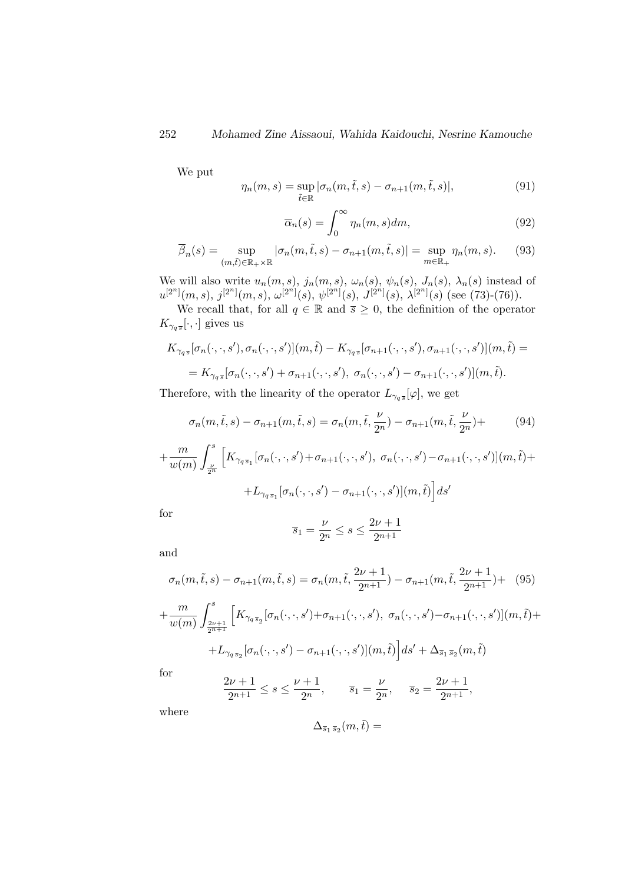We put

$$
\eta_n(m,s) = \sup_{\tilde{t}\in\mathbb{R}} |\sigma_n(m,\tilde{t},s) - \sigma_{n+1}(m,\tilde{t},s)|,
$$
\n(91)

$$
\overline{\alpha}_n(s) = \int_0^\infty \eta_n(m, s) dm,\tag{92}
$$

$$
\overline{\beta}_n(s) = \sup_{(m,\tilde{t}) \in \mathbb{R}_+ \times \mathbb{R}} |\sigma_n(m,\tilde{t},s) - \sigma_{n+1}(m,\tilde{t},s)| = \sup_{m \in \mathbb{R}_+} \eta_n(m,s). \tag{93}
$$

We will also write  $u_n(m, s)$ ,  $j_n(m, s)$ ,  $\omega_n(s)$ ,  $\psi_n(s)$ ,  $J_n(s)$ ,  $\lambda_n(s)$  instead of  $u^{[2^n]}(m, s), j^{[2^n]}(m, s), \omega^{[2^n]}(s), \psi^{[2^n]}(s), J^{[2^n]}(s), \lambda^{[2^n]}(s)$  (see (73)-(76)).

We recall that, for all  $q \in \mathbb{R}$  and  $\overline{s} \geq 0$ , the definition of the operator  $K_{\gamma_q s}[\cdot,\cdot]$  gives us

$$
K_{\gamma_q s}[\sigma_n(\cdot,\cdot,s'),\sigma_n(\cdot,\cdot,s')](m,\tilde{t}) - K_{\gamma_q s}[\sigma_{n+1}(\cdot,\cdot,s'),\sigma_{n+1}(\cdot,\cdot,s')](m,\tilde{t}) =
$$
  
= 
$$
K_{\gamma_q s}[\sigma_n(\cdot,\cdot,s') + \sigma_{n+1}(\cdot,\cdot,s'),\sigma_n(\cdot,\cdot,s') - \sigma_{n+1}(\cdot,\cdot,s')](m,\tilde{t}).
$$

Therefore, with the linearity of the operator  $L_{\gamma_q s}[\varphi]$ , we get

$$
\sigma_n(m, \tilde{t}, s) - \sigma_{n+1}(m, \tilde{t}, s) = \sigma_n(m, \tilde{t}, \frac{\nu}{2^n}) - \sigma_{n+1}(m, \tilde{t}, \frac{\nu}{2^n}) +
$$
(94)

$$
+\frac{m}{w(m)}\int_{\frac{\nu}{2^n}}^s \Big[ K_{\gamma_q s_1}[\sigma_n(\cdot,\cdot,s')+\sigma_{n+1}(\cdot,\cdot,s'), \ \sigma_n(\cdot,\cdot,s')-\sigma_{n+1}(\cdot,\cdot,s')] (m,\tilde{t}) ++L_{\gamma_q s_1}[\sigma_n(\cdot,\cdot,s')-\sigma_{n+1}(\cdot,\cdot,s')] (m,\tilde{t})\Big] ds'
$$

for

$$
\overline{s}_1 = \frac{\nu}{2^n} \le s \le \frac{2\nu + 1}{2^{n+1}}
$$

and

$$
\sigma_n(m, \tilde{t}, s) - \sigma_{n+1}(m, \tilde{t}, s) = \sigma_n(m, \tilde{t}, \frac{2\nu + 1}{2^{n+1}}) - \sigma_{n+1}(m, \tilde{t}, \frac{2\nu + 1}{2^{n+1}}) + (95)
$$

$$
+ \frac{m}{w(m)} \int_{\frac{2\nu + 1}{2^{n+1}}}^{s} \left[ K_{\gamma_q \overline{s}_2}[\sigma_n(\cdot, \cdot, s') + \sigma_{n+1}(\cdot, \cdot, s'), \sigma_n(\cdot, \cdot, s') - \sigma_{n+1}(\cdot, \cdot, s')](m, \tilde{t}) + (95)
$$

$$
+L_{\gamma_q\bar{s}_2}[\sigma_n(\cdot,\cdot,s')-\sigma_{n+1}(\cdot,\cdot,s')](m,\tilde{t})\Big]ds'+\Delta_{\bar{s}_1\bar{s}_2}(m,\tilde{t})
$$

for

$$
\frac{2\nu+1}{2^{n+1}} \le s \le \frac{\nu+1}{2^n}, \qquad \overline{s}_1 = \frac{\nu}{2^n}, \quad \overline{s}_2 = \frac{2\nu+1}{2^{n+1}},
$$

where

$$
\Delta_{\overline{s}_1\,\overline{s}_2}(m,\tilde{t}) =
$$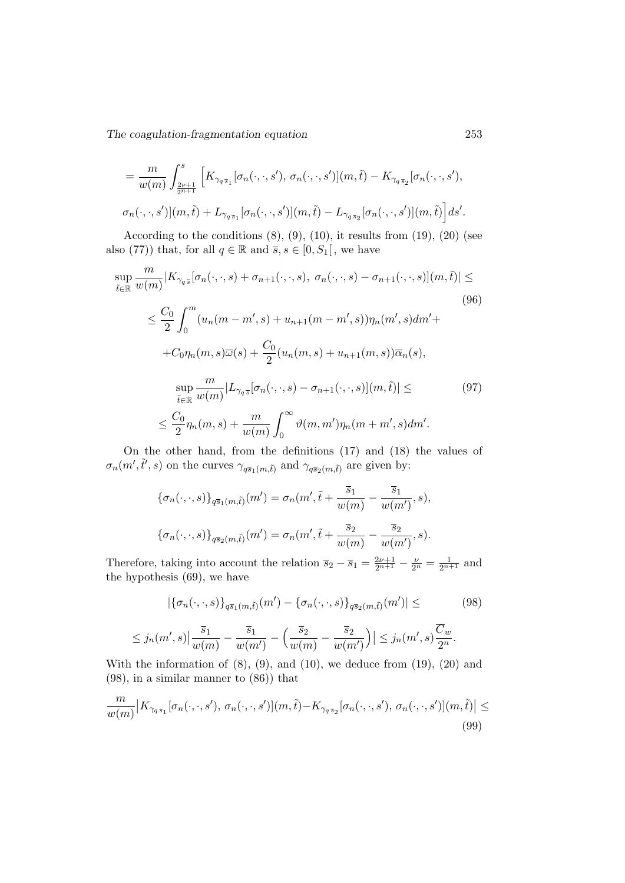$$
= \frac{m}{w(m)} \int_{\frac{2\nu+1}{2n+1}}^{s} \left[ K_{\gamma_q s_1}[\sigma_n(\cdot,\cdot,s'),\,\sigma_n(\cdot,\cdot,s')] (m,\tilde{t}) - K_{\gamma_q s_2}[\sigma_n(\cdot,\cdot,s'),\,\sigma_n(\cdot,\cdot,s')] (m,\tilde{t}) + L_{\gamma_q s_1}[\sigma_n(\cdot,\cdot,s')] (m,\tilde{t}) - L_{\gamma_q s_2}[\sigma_n(\cdot,\cdot,s')] (m,\tilde{t}) \right] ds'.
$$

According to the conditions  $(8)$ ,  $(9)$ ,  $(10)$ , it results from  $(19)$ ,  $(20)$  (see also (77)) that, for all  $q \in \mathbb{R}$  and  $\overline{s}, s \in [0, S_1]$ , we have

$$
\sup_{\tilde{t}\in\mathbb{R}}\frac{m}{w(m)}|K_{\gamma_{q\bar{s}}}[\sigma_{n}(\cdot,\cdot,s)+\sigma_{n+1}(\cdot,\cdot,s),\,\sigma_{n}(\cdot,\cdot,s)-\sigma_{n+1}(\cdot,\cdot,s)](m,\tilde{t})|\leq
$$
\n
$$
\leq \frac{C_{0}}{2}\int_{0}^{m}(u_{n}(m-m',s)+u_{n+1}(m-m',s))\eta_{n}(m',s)dm'+
$$
\n
$$
+C_{0}\eta_{n}(m,s)\overline{\omega}(s)+\frac{C_{0}}{2}(u_{n}(m,s)+u_{n+1}(m,s))\overline{\alpha}_{n}(s),
$$
\n
$$
\sup_{\tilde{t}\in\mathbb{R}}\frac{m}{w(m)}|L_{\gamma_{q\bar{s}}}[\sigma_{n}(\cdot,\cdot,s)-\sigma_{n+1}(\cdot,\cdot,s)](m,\tilde{t})|\leq
$$
\n
$$
\leq \frac{C_{0}}{2}\eta_{n}(m,s)+\frac{m}{w(m)}\int_{0}^{\infty}\vartheta(m,m')\eta_{n}(m+m',s)dm'.
$$
\n(97)

On the other hand, from the definitions (17) and (18) the values of  $\sigma_n(m', \tilde{t}', s)$  on the curves  $\gamma_{q\bar{s}_1(m,\tilde{t})}$  and  $\gamma_{q\bar{s}_2(m,\tilde{t})}$  are given by:

$$
\{\sigma_n(\cdot,\cdot,s)\}_{q\bar{s}_1(m,\tilde{t})}(m') = \sigma_n(m',\tilde{t} + \frac{\bar{s}_1}{w(m)} - \frac{\bar{s}_1}{w(m')},s),
$$
  

$$
\{\sigma_n(\cdot,\cdot,s)\}_{q\bar{s}_2(m,\tilde{t})}(m') = \sigma_n(m',\tilde{t} + \frac{\bar{s}_2}{w(m)} - \frac{\bar{s}_2}{w(m')},s).
$$

Therefore, taking into account the relation  $\overline{s}_2 - \overline{s}_1 = \frac{2\nu+1}{2n+1} - \frac{\nu}{2^n} = \frac{1}{2n+1}$  and the hypothesis (69), we have

$$
|\{\sigma_n(\cdot,\cdot,s)\}_{q\bar{s}_1(m,\tilde{t})}(m') - \{\sigma_n(\cdot,\cdot,s)\}_{q\bar{s}_2(m,\tilde{t})}(m')| \leq (98)
$$
  

$$
\leq j_n(m',s)|\frac{\bar{s}_1}{w(m)} - \frac{\bar{s}_1}{w(m')} - \left(\frac{\bar{s}_2}{w(m)} - \frac{\bar{s}_2}{w(m')}\right)| \leq j_n(m',s)\frac{\overline{C}_w}{2^n}.
$$

With the information of  $(8)$ ,  $(9)$ , and  $(10)$ , we deduce from  $(19)$ ,  $(20)$  and (98), in a similar manner to (86)) that

$$
\frac{m}{w(m)}|K_{\gamma_q\overline{s}_1}[\sigma_n(\cdot,\cdot,s'),\,\sigma_n(\cdot,\cdot,s')](m,\tilde{t})-K_{\gamma_q\overline{s}_2}[\sigma_n(\cdot,\cdot,s'),\,\sigma_n(\cdot,\cdot,s')](m,\tilde{t})| \leq (99)
$$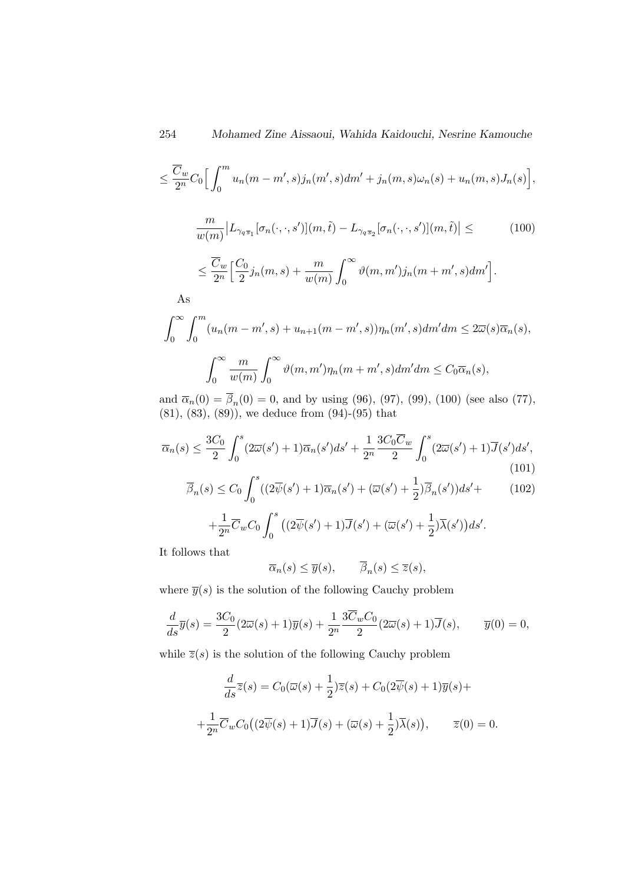$$
\leq \frac{\overline{C}_w}{2^n}C_0\Big[\int_0^m u_n(m-m',s)j_n(m',s)dm'+j_n(m,s)\omega_n(s)+u_n(m,s)J_n(s)\Big],
$$

$$
\frac{m}{w(m)}|L_{\gamma_q\overline{s}_1}[\sigma_n(\cdot,\cdot,s')](m,\tilde{t}) - L_{\gamma_q\overline{s}_2}[\sigma_n(\cdot,\cdot,s')](m,\tilde{t})| \leq \qquad (100)
$$

$$
\leq \frac{\overline{C}_w}{2^n} \Big[ \frac{C_0}{2} j_n(m,s) + \frac{m}{w(m)} \int_0^\infty \vartheta(m,m') j_n(m+m',s) dm' \Big].
$$

As

$$
\int_0^\infty \int_0^m (u_n(m - m', s) + u_{n+1}(m - m', s)) \eta_n(m', s) dm' dm \le 2\overline{\omega}(s)\overline{\alpha}_n(s),
$$
  

$$
\int_0^\infty \frac{m}{w(m)} \int_0^\infty \vartheta(m, m') \eta_n(m + m', s) dm' dm \le C_0 \overline{\alpha}_n(s),
$$

and  $\bar{\alpha}_n(0) = \beta_n(0) = 0$ , and by using (96), (97), (99), (100) (see also (77), (81), (83), (89)), we deduce from (94)-(95) that

$$
\overline{\alpha}_n(s) \le \frac{3C_0}{2} \int_0^s (2\overline{\omega}(s') + 1)\overline{\alpha}_n(s')ds' + \frac{1}{2^n} \frac{3C_0 \overline{C}_w}{2} \int_0^s (2\overline{\omega}(s') + 1)\overline{J}(s')ds',\tag{101}
$$

$$
\overline{\beta}_n(s) \le C_0 \int_0^s ((2\overline{\psi}(s') + 1)\overline{\alpha}_n(s') + (\overline{\omega}(s') + \frac{1}{2})\overline{\beta}_n(s'))ds' +
$$
(102)

$$
+\frac{1}{2^n}\overline{C}_wC_0\int_0^s \big((2\overline{\psi}(s')+1)\overline{J}(s')+(\overline{\omega}(s')+\frac{1}{2})\overline{\lambda}(s')\big)ds'.
$$

It follows that

$$
\overline{\alpha}_n(s) \le \overline{y}(s), \qquad \overline{\beta}_n(s) \le \overline{z}(s),
$$

where  $\overline{y}(s)$  is the solution of the following Cauchy problem

$$
\frac{d}{ds}\overline{y}(s) = \frac{3C_0}{2}(2\overline{\omega}(s) + 1)\overline{y}(s) + \frac{1}{2^n}\frac{3\overline{C}_wC_0}{2}(2\overline{\omega}(s) + 1)\overline{J}(s), \qquad \overline{y}(0) = 0,
$$

while  $\overline{z}(s)$  is the solution of the following Cauchy problem

$$
\frac{d}{ds}\overline{z}(s) = C_0(\overline{\omega}(s) + \frac{1}{2})\overline{z}(s) + C_0(2\overline{\psi}(s) + 1)\overline{y}(s) +
$$

$$
+\frac{1}{2^n}\overline{C}_wC_0((2\overline{\psi}(s) + 1)\overline{J}(s) + (\overline{\omega}(s) + \frac{1}{2})\overline{\lambda}(s)), \qquad \overline{z}(0) = 0.
$$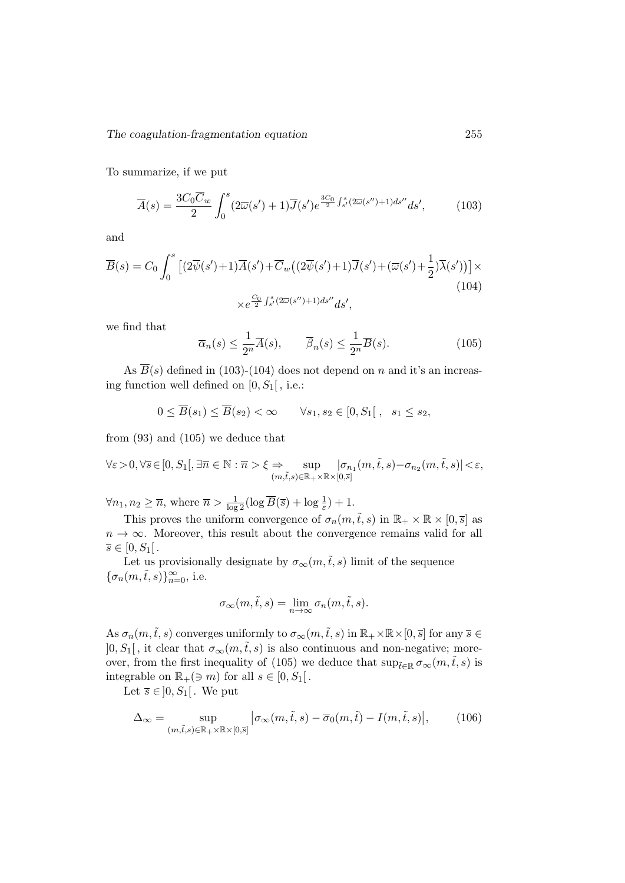To summarize, if we put

$$
\overline{A}(s) = \frac{3C_0 \overline{C}_w}{2} \int_0^s (2\overline{\omega}(s') + 1) \overline{J}(s') e^{\frac{3C_0}{2} \int_{s'}^s (2\overline{\omega}(s'') + 1) ds''} ds',
$$
(103)

and

$$
\overline{B}(s) = C_0 \int_0^s \left[ (2\overline{\psi}(s') + 1)\overline{A}(s') + \overline{C}_w\left( (2\overline{\psi}(s') + 1)\overline{J}(s') + (\overline{\omega}(s') + \frac{1}{2})\overline{\lambda}(s') \right) \right] \times
$$
\n
$$
\times e^{\frac{C_0}{2} \int_{s'}^s (2\overline{\omega}(s'') + 1)ds''} ds',
$$
\n(104)

we find that

$$
\overline{\alpha}_n(s) \le \frac{1}{2^n} \overline{A}(s), \qquad \overline{\beta}_n(s) \le \frac{1}{2^n} \overline{B}(s). \tag{105}
$$

As  $\overline{B}(s)$  defined in (103)-(104) does not depend on n and it's an increasing function well defined on  $[0, S_1]$ , i.e.:

$$
0 \leq \overline{B}(s_1) \leq \overline{B}(s_2) < \infty \qquad \forall s_1, s_2 \in [0, S_1], \quad s_1 \leq s_2,
$$

from (93) and (105) we deduce that

$$
\forall \varepsilon >0, \forall \overline{s} \in [0, S_1[, \exists \overline{n} \in \mathbb{N} : \overline{n} > \xi \Rightarrow \sup_{(m,\tilde{t},s) \in \mathbb{R}_+ \times \mathbb{R} \times [0,\overline{s}]} |\sigma_{n_1}(m,\tilde{t},s) - \sigma_{n_2}(m,\tilde{t},s)| < \varepsilon,
$$

 $\forall n_1, n_2 \geq \overline{n}$ , where  $\overline{n} > \frac{1}{\log 2} (\log \overline{B}(\overline{s}) + \log \frac{1}{\varepsilon}) + 1$ .

This proves the uniform convergence of  $\sigma_n(m,\tilde{t},s)$  in  $\mathbb{R}_+ \times \mathbb{R} \times [0,\overline{s}]$  as  $n \to \infty$ . Moreover, this result about the convergence remains valid for all  $\overline{s} \in [0, S_1]$ .

Let us provisionally designate by  $\sigma_{\infty}(m,\tilde{t},s)$  limit of the sequence  $\{\sigma_n(m,\tilde{t},s)\}_{n=0}^\infty,$  i.e.

$$
\sigma_{\infty}(m,\tilde{t},s) = \lim_{n \to \infty} \sigma_n(m,\tilde{t},s).
$$

As  $\sigma_n(m,\tilde{t},s)$  converges uniformly to  $\sigma_\infty(m,\tilde{t},s)$  in  $\mathbb{R}_+\times\mathbb{R}\times[0,\overline{s}]$  for any  $\overline{s}\in$  $]0, S_1[$ , it clear that  $\sigma_{\infty}(m, \tilde{t}, s)$  is also continuous and non-negative; moreover, from the first inequality of (105) we deduce that  $\sup_{\tilde{t}\in\mathbb{R}}\sigma_{\infty}(m,\tilde{t},s)$  is integrable on  $\mathbb{R}_+(\ni m)$  for all  $s \in [0, S_1[$ .

Let  $\overline{s} \in ]0, S_1[$ . We put

$$
\Delta_{\infty} = \sup_{(m,\tilde{t},s) \in \mathbb{R}_+ \times \mathbb{R} \times [0,\bar{s}]} |\sigma_{\infty}(m,\tilde{t},s) - \overline{\sigma}_0(m,\tilde{t}) - I(m,\tilde{t},s)|, \qquad (106)
$$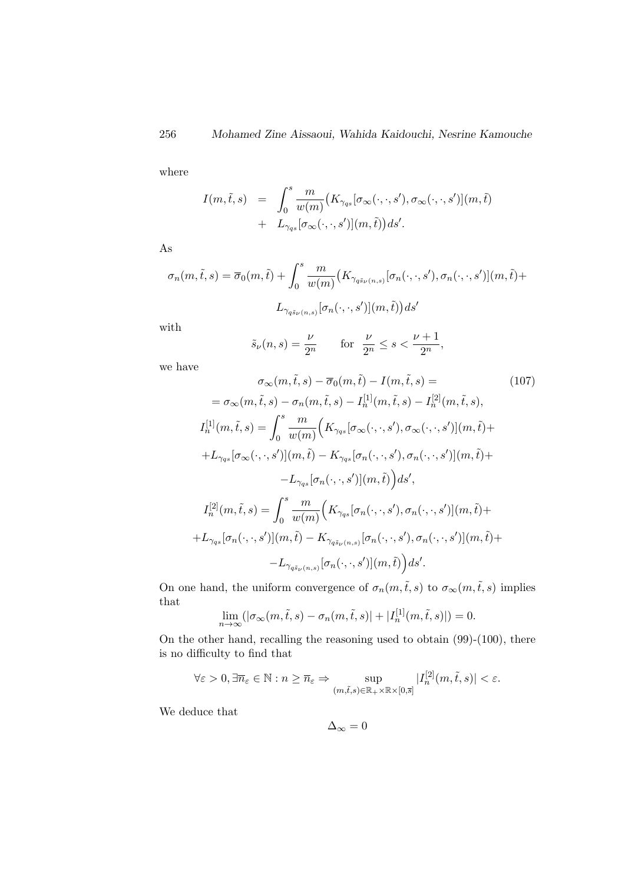where

$$
I(m,\tilde{t},s) = \int_0^s \frac{m}{w(m)} \big(K_{\gammaqs}[\sigma_{\infty}(\cdot,\cdot,s'),\sigma_{\infty}(\cdot,\cdot,s')](m,\tilde{t}) + L_{\gammaqs}[\sigma_{\infty}(\cdot,\cdot,s')](m,\tilde{t})ds'.
$$

As

$$
\sigma_n(m,\tilde{t},s) = \overline{\sigma}_0(m,\tilde{t}) + \int_0^s \frac{m}{w(m)} \big(K_{\gamma_{q\tilde{s}_{\nu}(n,s)}}[\sigma_n(\cdot,\cdot,s'),\sigma_n(\cdot,\cdot,s')](m,\tilde{t}) +
$$

$$
L_{\gamma_{q\tilde{s}_{\nu}(n,s)}}[\sigma_n(\cdot,\cdot,s')](m,\tilde{t})ds'
$$

with

$$
\tilde{s}_{\nu}(n,s) = \frac{\nu}{2^n} \qquad \text{for} \ \ \frac{\nu}{2^n} \le s < \frac{\nu+1}{2^n},
$$

we have

$$
\sigma_{\infty}(m,\tilde{t},s) - \overline{\sigma}_{0}(m,\tilde{t}) - I(m,\tilde{t},s) = \qquad (107)
$$
\n
$$
= \sigma_{\infty}(m,\tilde{t},s) - \sigma_{n}(m,\tilde{t},s) - I_{n}^{[1]}(m,\tilde{t},s) - I_{n}^{[2]}(m,\tilde{t},s),
$$
\n
$$
I_{n}^{[1]}(m,\tilde{t},s) = \int_{0}^{s} \frac{m}{w(m)} \Big( K_{\gamma_{qs}}[\sigma_{\infty}(\cdot,\cdot,s'), \sigma_{\infty}(\cdot,\cdot,s')] (m,\tilde{t}) +
$$
\n
$$
+ L_{\gamma_{qs}}[\sigma_{\infty}(\cdot,\cdot,s')] (m,\tilde{t}) - K_{\gamma_{qs}}[\sigma_{n}(\cdot,\cdot,s'), \sigma_{n}(\cdot,\cdot,s')] (m,\tilde{t}) +
$$
\n
$$
- L_{\gamma_{qs}}[\sigma_{n}(\cdot,\cdot,s')] (m,\tilde{t}) \Big) ds',
$$
\n
$$
I_{n}^{[2]}(m,\tilde{t},s) = \int_{0}^{s} \frac{m}{w(m)} \Big( K_{\gamma_{qs}}[\sigma_{n}(\cdot,\cdot,s'), \sigma_{n}(\cdot,\cdot,s')] (m,\tilde{t}) +
$$
\n
$$
+ L_{\gamma_{qs}}[\sigma_{n}(\cdot,\cdot,s')] (m,\tilde{t}) - K_{\gamma_{qs}\nu(n,s)}[\sigma_{n}(\cdot,\cdot,s'), \sigma_{n}(\cdot,\cdot,s')] (m,\tilde{t}) +
$$
\n
$$
- L_{\gamma_{qs}\nu(n,s)}[\sigma_{n}(\cdot,\cdot,s')] (m,\tilde{t}) \Big) ds'.
$$
\n(107)

On one hand, the uniform convergence of  $\sigma_n(m,\tilde{t},s)$  to  $\sigma_\infty(m,\tilde{t},s)$  implies that

$$
\lim_{n \to \infty} (|\sigma_{\infty}(m, \tilde{t}, s) - \sigma_n(m, \tilde{t}, s)| + |I_n^{[1]}(m, \tilde{t}, s)|) = 0.
$$

On the other hand, recalling the reasoning used to obtain (99)-(100), there is no difficulty to find that

$$
\forall \varepsilon > 0, \exists \overline{n}_{\varepsilon} \in \mathbb{N} : n \ge \overline{n}_{\varepsilon} \Rightarrow \sup_{(m,\tilde{t},s) \in \mathbb{R}_+ \times \mathbb{R} \times [0,\overline{s}]} |I_n^{[2]}(m,\tilde{t},s)| < \varepsilon.
$$

We deduce that

$$
\Delta_{\infty}=0
$$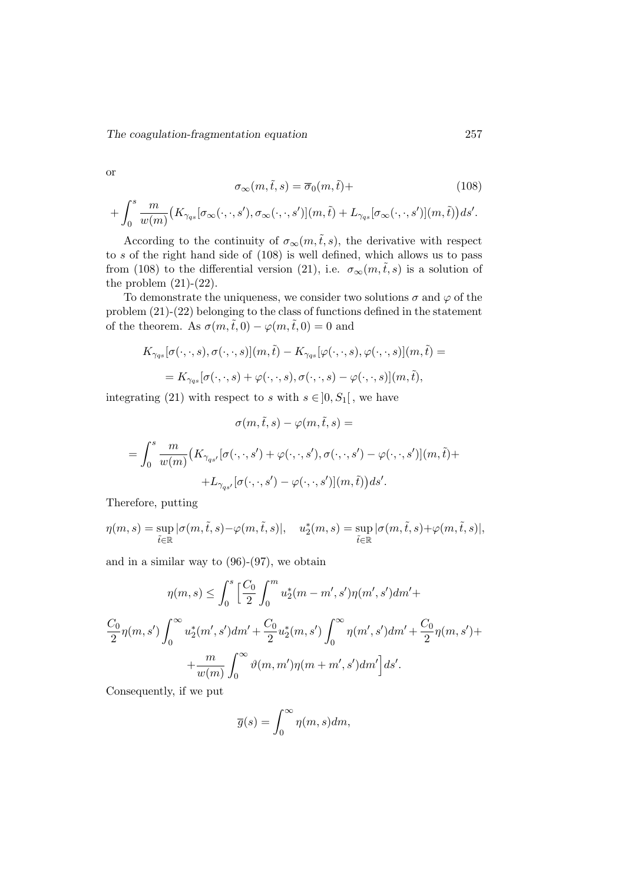or

$$
\sigma_{\infty}(m,\tilde{t},s) = \overline{\sigma}_0(m,\tilde{t}) +
$$
\n(108)

$$
+\int_0^s \frac{m}{w(m)}\big(K_{\gamma qs}[\sigma_\infty(\cdot,\cdot,s'),\sigma_\infty(\cdot,\cdot,s')](m,\tilde{t})+L_{\gamma qs}[\sigma_\infty(\cdot,\cdot,s')](m,\tilde{t})\big)ds'.
$$

According to the continuity of  $\sigma_{\infty}(m,\tilde{t},s)$ , the derivative with respect to s of the right hand side of (108) is well defined, which allows us to pass from (108) to the differential version (21), i.e.  $\sigma_{\infty}(m,\tilde{t},s)$  is a solution of the problem  $(21)-(22)$ .

To demonstrate the uniqueness, we consider two solutions  $\sigma$  and  $\varphi$  of the problem (21)-(22) belonging to the class of functions defined in the statement of the theorem. As  $\sigma(m, \tilde{t}, 0) - \varphi(m, \tilde{t}, 0) = 0$  and

$$
K_{\gamma_{qs}}[\sigma(\cdot,\cdot,s),\sigma(\cdot,\cdot,s)](m,\tilde{t}) - K_{\gamma_{qs}}[\varphi(\cdot,\cdot,s),\varphi(\cdot,\cdot,s)](m,\tilde{t}) =
$$
  
=  $K_{\gamma_{qs}}[\sigma(\cdot,\cdot,s) + \varphi(\cdot,\cdot,s),\sigma(\cdot,\cdot,s) - \varphi(\cdot,\cdot,s)](m,\tilde{t}),$ 

integrating (21) with respect to s with  $s \in ]0, S_1[$ , we have

$$
\sigma(m,\tilde{t},s) - \varphi(m,\tilde{t},s) =
$$
  
= 
$$
\int_0^s \frac{m}{w(m)} \left( K_{\gamma_{qs'}}[\sigma(\cdot,\cdot,s') + \varphi(\cdot,\cdot,s'),\sigma(\cdot,\cdot,s') - \varphi(\cdot,\cdot,s')](m,\tilde{t}) +
$$
  
+ 
$$
L_{\gamma_{qs'}}[\sigma(\cdot,\cdot,s') - \varphi(\cdot,\cdot,s')](m,\tilde{t}) \right) ds'.
$$

Therefore, putting

$$
\eta(m,s)=\sup_{\tilde{t}\in\mathbb{R}}|\sigma(m,\tilde{t},s)-\varphi(m,\tilde{t},s)|,\quad u_2^*(m,s)=\sup_{\tilde{t}\in\mathbb{R}}|\sigma(m,\tilde{t},s)+\varphi(m,\tilde{t},s)|,
$$

and in a similar way to (96)-(97), we obtain

$$
\eta(m, s) \le \int_0^s \left[ \frac{C_0}{2} \int_0^m u_2^*(m - m', s') \eta(m', s') dm' + C_0 \eta(m, s') \int_0^\infty u_2^*(m', s') dm' + \frac{C_0}{2} u_2^*(m, s') \int_0^\infty \eta(m', s') dm' + \frac{C_0}{w(m)} \int_0^\infty \vartheta(m, m') \eta(m + m', s') dm' \right] ds'.
$$

Consequently, if we put

$$
\overline{g}(s) = \int_0^\infty \eta(m, s) dm,
$$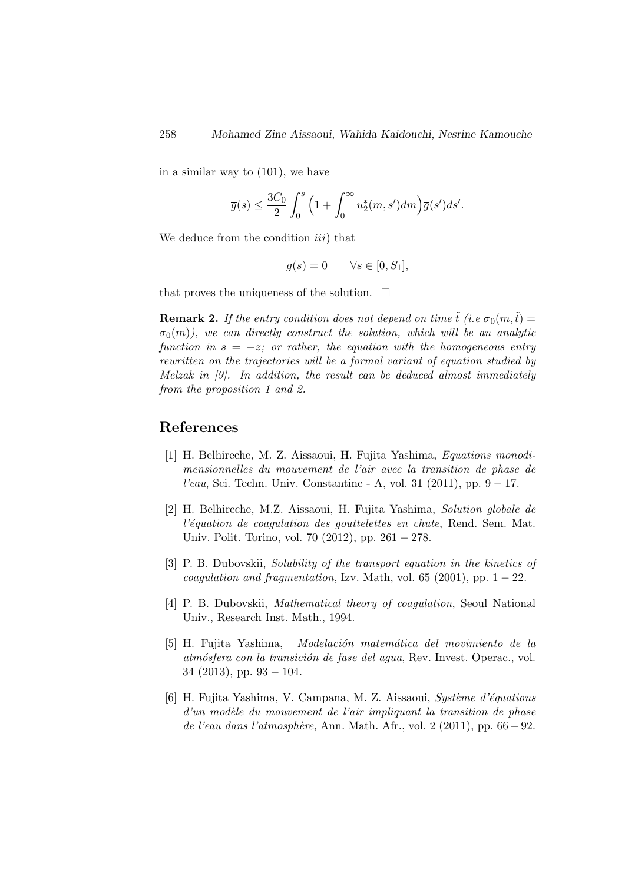in a similar way to (101), we have

$$
\overline{g}(s) \le \frac{3C_0}{2} \int_0^s \Big(1 + \int_0^\infty u_2^*(m, s')dm\Big) \overline{g}(s')ds'.
$$

We deduce from the condition *iii*) that

$$
\overline{g}(s) = 0 \qquad \forall s \in [0, S_1],
$$

that proves the uniqueness of the solution.  $\Box$ 

**Remark 2.** If the entry condition does not depend on time  $\tilde{t}$  (i.e  $\overline{\sigma}_0(m,\tilde{t}) =$  $\overline{\sigma}_0(m)$ , we can directly construct the solution, which will be an analytic function in  $s = -z$ ; or rather, the equation with the homogeneous entry rewritten on the trajectories will be a formal variant of equation studied by Melzak in [9]. In addition, the result can be deduced almost immediately from the proposition 1 and 2.

# References

- [1] H. Belhireche, M. Z. Aissaoui, H. Fujita Yashima, Equations monodimensionnelles du mouvement de l'air avec la transition de phase de l'eau, Sci. Techn. Univ. Constantine - A, vol. 31 (2011), pp. 9 − 17.
- [2] H. Belhireche, M.Z. Aissaoui, H. Fujita Yashima, Solution globale de l'équation de coagulation des gouttelettes en chute, Rend. Sem. Mat. Univ. Polit. Torino, vol. 70 (2012), pp. 261 − 278.
- [3] P. B. Dubovskii, Solubility of the transport equation in the kinetics of coagulation and fragmentation, Izv. Math, vol. 65 (2001), pp.  $1 - 22$ .
- [4] P. B. Dubovskii, Mathematical theory of coagulation, Seoul National Univ., Research Inst. Math., 1994.
- [5] H. Fujita Yashima, Modelación matemática del movimiento de la atmósfera con la transición de fase del agua, Rev. Invest. Operac., vol.  $34$  (2013), pp.  $93 - 104$ .
- [6] H. Fujita Yashima, V. Campana, M. Z. Aissaoui, Système d'équations  $d'un$  modèle du mouvement de l'air impliquant la transition de phase de l'eau dans l'atmosphère, Ann. Math. Afr., vol. 2 (2011), pp.  $66 - 92$ .